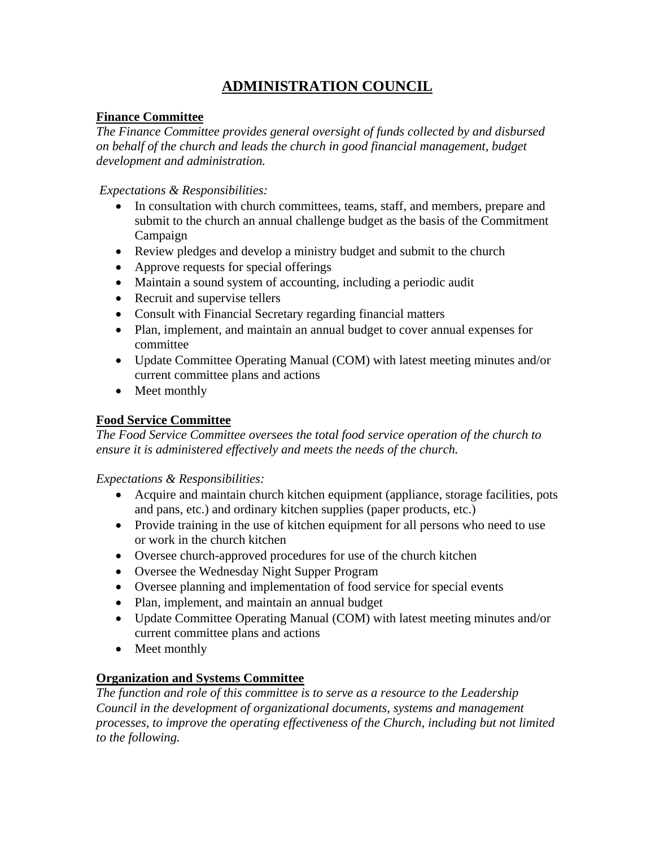# **ADMINISTRATION COUNCIL**

# **Finance Committee**

*The Finance Committee provides general oversight of funds collected by and disbursed on behalf of the church and leads the church in good financial management, budget development and administration.* 

*Expectations & Responsibilities:* 

- In consultation with church committees, teams, staff, and members, prepare and submit to the church an annual challenge budget as the basis of the Commitment Campaign
- Review pledges and develop a ministry budget and submit to the church
- Approve requests for special offerings
- Maintain a sound system of accounting, including a periodic audit
- Recruit and supervise tellers
- Consult with Financial Secretary regarding financial matters
- Plan, implement, and maintain an annual budget to cover annual expenses for committee
- Update Committee Operating Manual (COM) with latest meeting minutes and/or current committee plans and actions
- Meet monthly

# **Food Service Committee**

*The Food Service Committee oversees the total food service operation of the church to ensure it is administered effectively and meets the needs of the church.* 

*Expectations & Responsibilities:* 

- Acquire and maintain church kitchen equipment (appliance, storage facilities, pots and pans, etc.) and ordinary kitchen supplies (paper products, etc.)
- Provide training in the use of kitchen equipment for all persons who need to use or work in the church kitchen
- Oversee church-approved procedures for use of the church kitchen
- Oversee the Wednesday Night Supper Program
- Oversee planning and implementation of food service for special events
- Plan, implement, and maintain an annual budget
- Update Committee Operating Manual (COM) with latest meeting minutes and/or current committee plans and actions
- Meet monthly

# **Organization and Systems Committee**

*The function and role of this committee is to serve as a resource to the Leadership Council in the development of organizational documents, systems and management processes, to improve the operating effectiveness of the Church, including but not limited to the following.*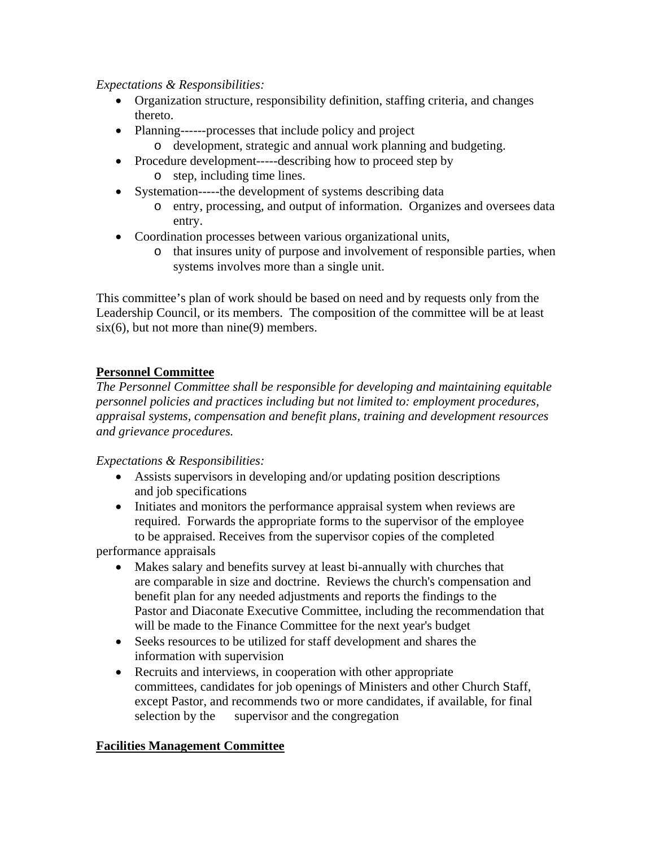#### *Expectations & Responsibilities:*

- Organization structure, responsibility definition, staffing criteria, and changes thereto.
- Planning------processes that include policy and project
	- o development, strategic and annual work planning and budgeting.
- Procedure development-----describing how to proceed step by o step, including time lines.
- Systemation------the development of systems describing data
	- o entry, processing, and output of information. Organizes and oversees data entry.
- Coordination processes between various organizational units,
	- o that insures unity of purpose and involvement of responsible parties, when systems involves more than a single unit.

This committee's plan of work should be based on need and by requests only from the Leadership Council, or its members. The composition of the committee will be at least  $six(6)$ , but not more than nine(9) members.

# **Personnel Committee**

*The Personnel Committee shall be responsible for developing and maintaining equitable personnel policies and practices including but not limited to: employment procedures, appraisal systems, compensation and benefit plans, training and development resources and grievance procedures.* 

## *Expectations & Responsibilities:*

- Assists supervisors in developing and/or updating position descriptions and job specifications
- Initiates and monitors the performance appraisal system when reviews are required. Forwards the appropriate forms to the supervisor of the employee to be appraised. Receives from the supervisor copies of the completed

performance appraisals

- Makes salary and benefits survey at least bi-annually with churches that are comparable in size and doctrine. Reviews the church's compensation and benefit plan for any needed adjustments and reports the findings to the Pastor and Diaconate Executive Committee, including the recommendation that will be made to the Finance Committee for the next year's budget
- Seeks resources to be utilized for staff development and shares the information with supervision
- Recruits and interviews, in cooperation with other appropriate committees, candidates for job openings of Ministers and other Church Staff, except Pastor, and recommends two or more candidates, if available, for final selection by the supervisor and the congregation

## **Facilities Management Committee**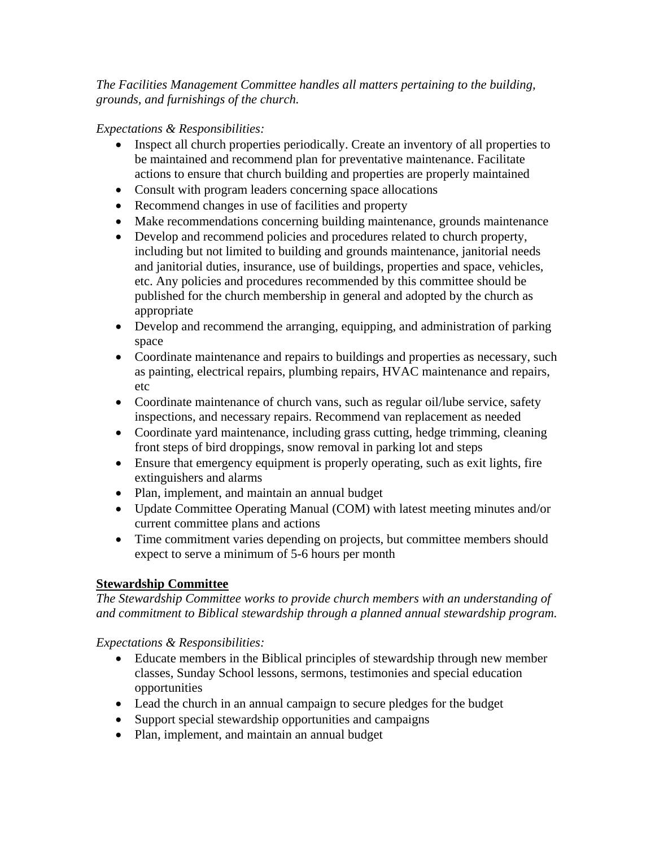*The Facilities Management Committee handles all matters pertaining to the building, grounds, and furnishings of the church.* 

*Expectations & Responsibilities:* 

- Inspect all church properties periodically. Create an inventory of all properties to be maintained and recommend plan for preventative maintenance. Facilitate actions to ensure that church building and properties are properly maintained
- Consult with program leaders concerning space allocations
- Recommend changes in use of facilities and property
- Make recommendations concerning building maintenance, grounds maintenance
- Develop and recommend policies and procedures related to church property, including but not limited to building and grounds maintenance, janitorial needs and janitorial duties, insurance, use of buildings, properties and space, vehicles, etc. Any policies and procedures recommended by this committee should be published for the church membership in general and adopted by the church as appropriate
- Develop and recommend the arranging, equipping, and administration of parking space
- Coordinate maintenance and repairs to buildings and properties as necessary, such as painting, electrical repairs, plumbing repairs, HVAC maintenance and repairs, etc
- Coordinate maintenance of church vans, such as regular oil/lube service, safety inspections, and necessary repairs. Recommend van replacement as needed
- Coordinate yard maintenance, including grass cutting, hedge trimming, cleaning front steps of bird droppings, snow removal in parking lot and steps
- Ensure that emergency equipment is properly operating, such as exit lights, fire extinguishers and alarms
- Plan, implement, and maintain an annual budget
- Update Committee Operating Manual (COM) with latest meeting minutes and/or current committee plans and actions
- Time commitment varies depending on projects, but committee members should expect to serve a minimum of 5-6 hours per month

# **Stewardship Committee**

*The Stewardship Committee works to provide church members with an understanding of and commitment to Biblical stewardship through a planned annual stewardship program.* 

- Educate members in the Biblical principles of stewardship through new member classes, Sunday School lessons, sermons, testimonies and special education opportunities
- Lead the church in an annual campaign to secure pledges for the budget
- Support special stewardship opportunities and campaigns
- Plan, implement, and maintain an annual budget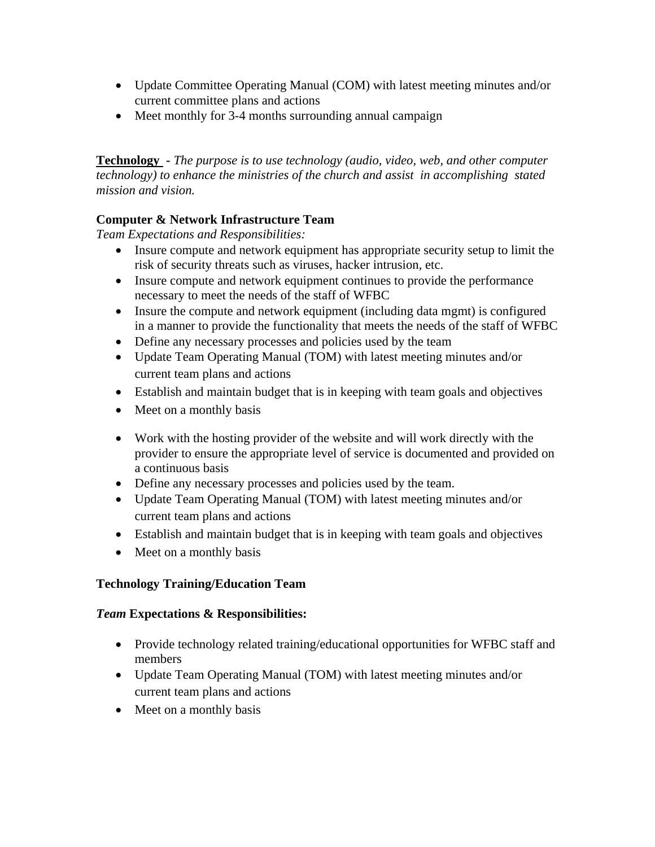- Update Committee Operating Manual (COM) with latest meeting minutes and/or current committee plans and actions
- Meet monthly for 3-4 months surrounding annual campaign

**Technology -** *The purpose is to use technology (audio, video, web, and other computer technology) to enhance the ministries of the church and assist in accomplishing stated mission and vision.*

# **Computer & Network Infrastructure Team**

*Team Expectations and Responsibilities:* 

- Insure compute and network equipment has appropriate security setup to limit the risk of security threats such as viruses, hacker intrusion, etc.
- Insure compute and network equipment continues to provide the performance necessary to meet the needs of the staff of WFBC
- Insure the compute and network equipment (including data mgmt) is configured in a manner to provide the functionality that meets the needs of the staff of WFBC
- Define any necessary processes and policies used by the team
- Update Team Operating Manual (TOM) with latest meeting minutes and/or current team plans and actions
- Establish and maintain budget that is in keeping with team goals and objectives
- Meet on a monthly basis
- Work with the hosting provider of the website and will work directly with the provider to ensure the appropriate level of service is documented and provided on a continuous basis
- Define any necessary processes and policies used by the team.
- Update Team Operating Manual (TOM) with latest meeting minutes and/or current team plans and actions
- Establish and maintain budget that is in keeping with team goals and objectives
- Meet on a monthly basis

## **Technology Training/Education Team**

- Provide technology related training/educational opportunities for WFBC staff and members
- Update Team Operating Manual (TOM) with latest meeting minutes and/or current team plans and actions
- Meet on a monthly basis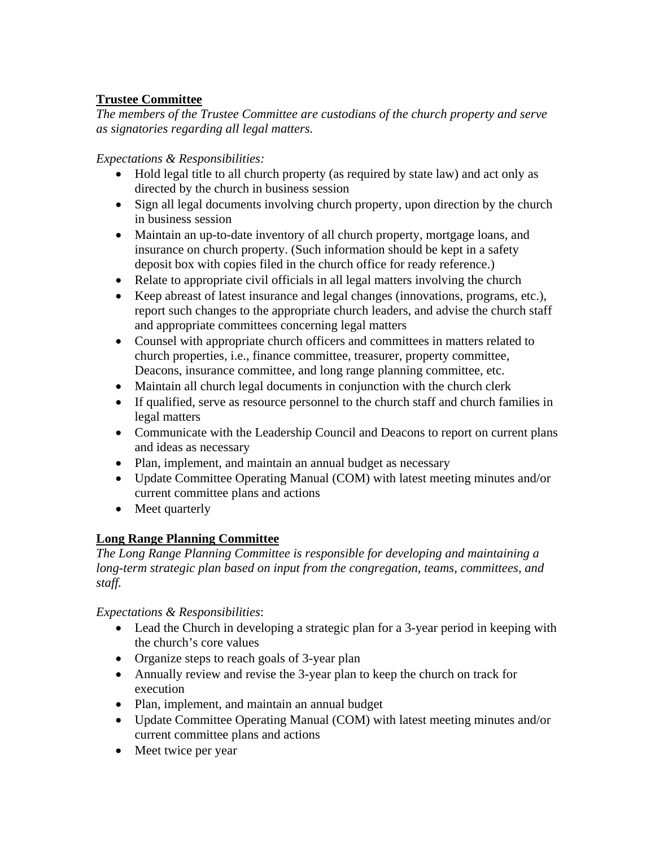# **Trustee Committee**

*The members of the Trustee Committee are custodians of the church property and serve as signatories regarding all legal matters.* 

*Expectations & Responsibilities:* 

- Hold legal title to all church property (as required by state law) and act only as directed by the church in business session
- Sign all legal documents involving church property, upon direction by the church in business session
- Maintain an up-to-date inventory of all church property, mortgage loans, and insurance on church property. (Such information should be kept in a safety deposit box with copies filed in the church office for ready reference.)
- Relate to appropriate civil officials in all legal matters involving the church
- Keep abreast of latest insurance and legal changes (innovations, programs, etc.), report such changes to the appropriate church leaders, and advise the church staff and appropriate committees concerning legal matters
- Counsel with appropriate church officers and committees in matters related to church properties, i.e., finance committee, treasurer, property committee, Deacons, insurance committee, and long range planning committee, etc.
- Maintain all church legal documents in conjunction with the church clerk
- If qualified, serve as resource personnel to the church staff and church families in legal matters
- Communicate with the Leadership Council and Deacons to report on current plans and ideas as necessary
- Plan, implement, and maintain an annual budget as necessary
- Update Committee Operating Manual (COM) with latest meeting minutes and/or current committee plans and actions
- Meet quarterly

# **Long Range Planning Committee**

*The Long Range Planning Committee is responsible for developing and maintaining a long-term strategic plan based on input from the congregation, teams, committees, and staff.* 

- Lead the Church in developing a strategic plan for a 3-year period in keeping with the church's core values
- Organize steps to reach goals of 3-year plan
- Annually review and revise the 3-year plan to keep the church on track for execution
- Plan, implement, and maintain an annual budget
- Update Committee Operating Manual (COM) with latest meeting minutes and/or current committee plans and actions
- Meet twice per year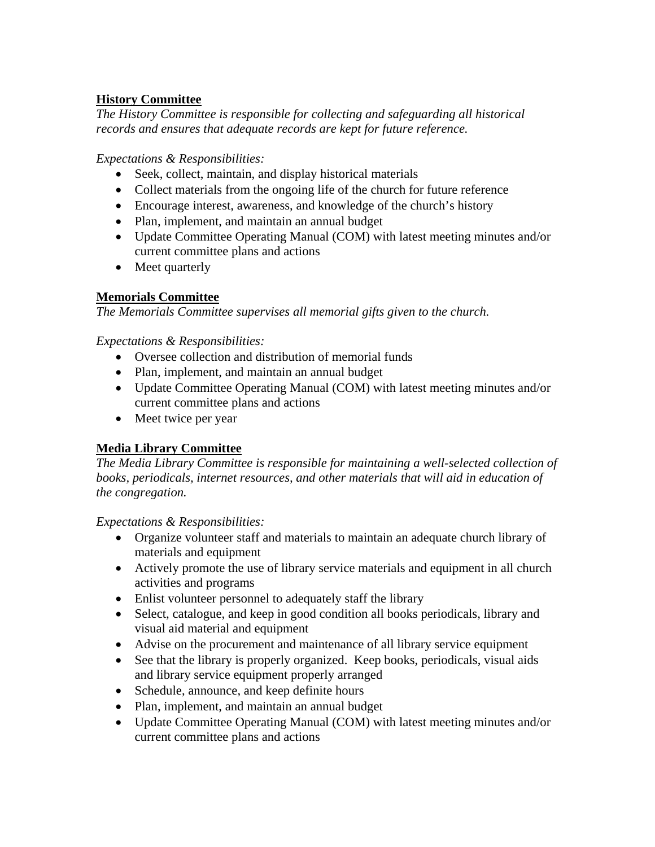# **History Committee**

*The History Committee is responsible for collecting and safeguarding all historical records and ensures that adequate records are kept for future reference.* 

## *Expectations & Responsibilities:*

- Seek, collect, maintain, and display historical materials
- Collect materials from the ongoing life of the church for future reference
- Encourage interest, awareness, and knowledge of the church's history
- Plan, implement, and maintain an annual budget
- Update Committee Operating Manual (COM) with latest meeting minutes and/or current committee plans and actions
- Meet quarterly

# **Memorials Committee**

*The Memorials Committee supervises all memorial gifts given to the church.* 

# *Expectations & Responsibilities:*

- Oversee collection and distribution of memorial funds
- Plan, implement, and maintain an annual budget
- Update Committee Operating Manual (COM) with latest meeting minutes and/or current committee plans and actions
- Meet twice per year

# **Media Library Committee**

*The Media Library Committee is responsible for maintaining a well-selected collection of books, periodicals, internet resources, and other materials that will aid in education of the congregation.* 

- Organize volunteer staff and materials to maintain an adequate church library of materials and equipment
- Actively promote the use of library service materials and equipment in all church activities and programs
- Enlist volunteer personnel to adequately staff the library
- Select, catalogue, and keep in good condition all books periodicals, library and visual aid material and equipment
- Advise on the procurement and maintenance of all library service equipment
- See that the library is properly organized. Keep books, periodicals, visual aids and library service equipment properly arranged
- Schedule, announce, and keep definite hours
- Plan, implement, and maintain an annual budget
- Update Committee Operating Manual (COM) with latest meeting minutes and/or current committee plans and actions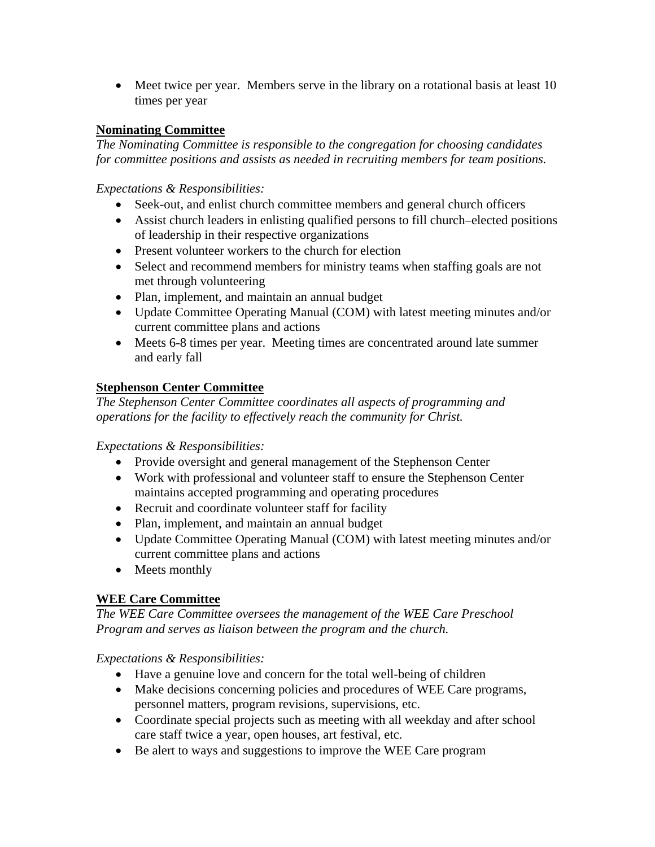• Meet twice per year. Members serve in the library on a rotational basis at least 10 times per year

## **Nominating Committee**

*The Nominating Committee is responsible to the congregation for choosing candidates for committee positions and assists as needed in recruiting members for team positions.* 

*Expectations & Responsibilities:* 

- Seek-out, and enlist church committee members and general church officers
- Assist church leaders in enlisting qualified persons to fill church–elected positions of leadership in their respective organizations
- Present volunteer workers to the church for election
- Select and recommend members for ministry teams when staffing goals are not met through volunteering
- Plan, implement, and maintain an annual budget
- Update Committee Operating Manual (COM) with latest meeting minutes and/or current committee plans and actions
- Meets 6-8 times per year. Meeting times are concentrated around late summer and early fall

## **Stephenson Center Committee**

*The Stephenson Center Committee coordinates all aspects of programming and operations for the facility to effectively reach the community for Christ.* 

*Expectations & Responsibilities:* 

- Provide oversight and general management of the Stephenson Center
- Work with professional and volunteer staff to ensure the Stephenson Center maintains accepted programming and operating procedures
- Recruit and coordinate volunteer staff for facility
- Plan, implement, and maintain an annual budget
- Update Committee Operating Manual (COM) with latest meeting minutes and/or current committee plans and actions
- Meets monthly

## **WEE Care Committee**

*The WEE Care Committee oversees the management of the WEE Care Preschool Program and serves as liaison between the program and the church.* 

- Have a genuine love and concern for the total well-being of children
- Make decisions concerning policies and procedures of WEE Care programs, personnel matters, program revisions, supervisions, etc.
- Coordinate special projects such as meeting with all weekday and after school care staff twice a year, open houses, art festival, etc.
- Be alert to ways and suggestions to improve the WEE Care program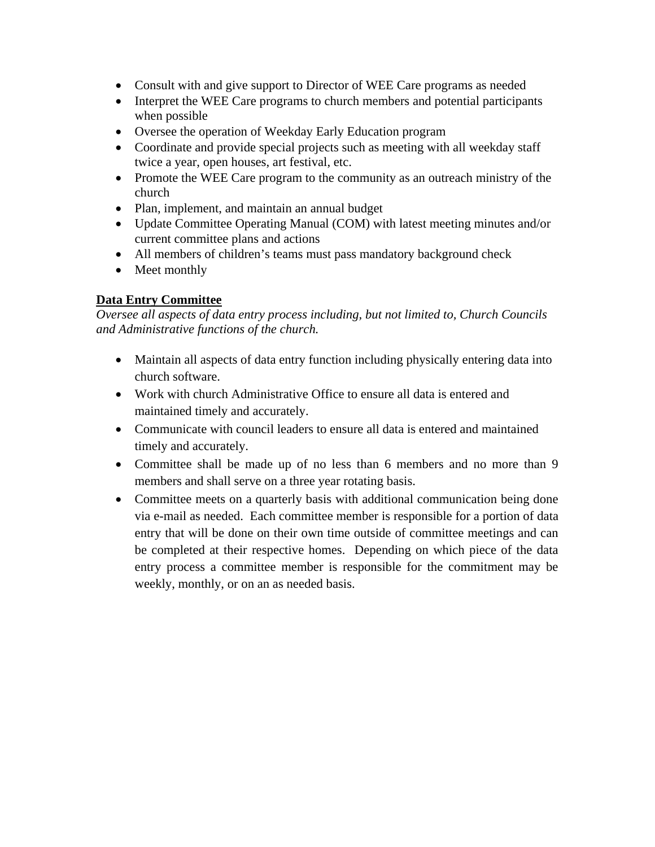- Consult with and give support to Director of WEE Care programs as needed
- Interpret the WEE Care programs to church members and potential participants when possible
- Oversee the operation of Weekday Early Education program
- Coordinate and provide special projects such as meeting with all weekday staff twice a year, open houses, art festival, etc.
- Promote the WEE Care program to the community as an outreach ministry of the church
- Plan, implement, and maintain an annual budget
- Update Committee Operating Manual (COM) with latest meeting minutes and/or current committee plans and actions
- All members of children's teams must pass mandatory background check
- Meet monthly

# **Data Entry Committee**

*Oversee all aspects of data entry process including, but not limited to, Church Councils and Administrative functions of the church.* 

- Maintain all aspects of data entry function including physically entering data into church software.
- Work with church Administrative Office to ensure all data is entered and maintained timely and accurately.
- Communicate with council leaders to ensure all data is entered and maintained timely and accurately.
- Committee shall be made up of no less than 6 members and no more than 9 members and shall serve on a three year rotating basis.
- Committee meets on a quarterly basis with additional communication being done via e-mail as needed. Each committee member is responsible for a portion of data entry that will be done on their own time outside of committee meetings and can be completed at their respective homes. Depending on which piece of the data entry process a committee member is responsible for the commitment may be weekly, monthly, or on an as needed basis.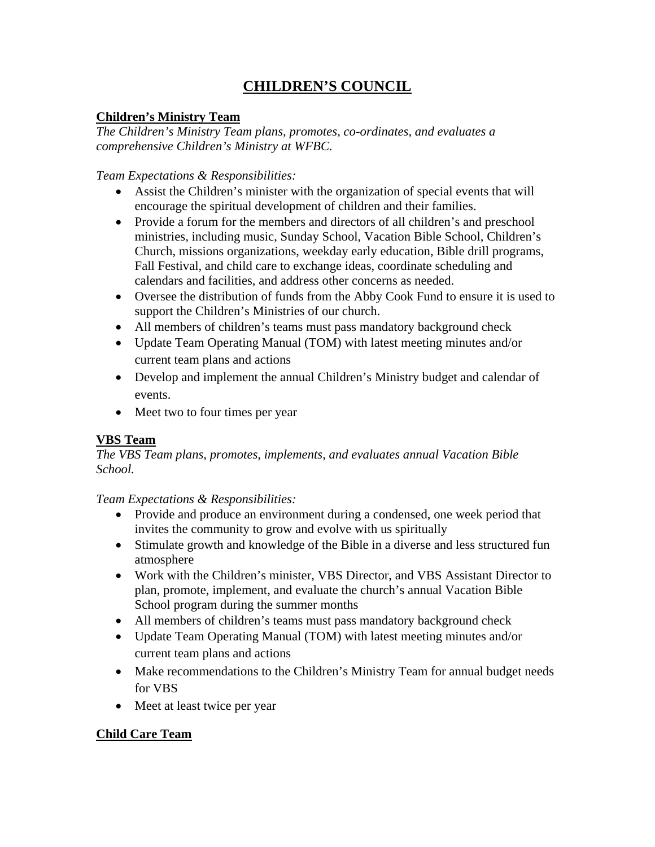# **CHILDREN'S COUNCIL**

# **Children's Ministry Team**

*The Children's Ministry Team plans, promotes, co-ordinates, and evaluates a comprehensive Children's Ministry at WFBC.* 

## *Team Expectations & Responsibilities:*

- Assist the Children's minister with the organization of special events that will encourage the spiritual development of children and their families.
- Provide a forum for the members and directors of all children's and preschool ministries, including music, Sunday School, Vacation Bible School, Children's Church, missions organizations, weekday early education, Bible drill programs, Fall Festival, and child care to exchange ideas, coordinate scheduling and calendars and facilities, and address other concerns as needed.
- Oversee the distribution of funds from the Abby Cook Fund to ensure it is used to support the Children's Ministries of our church.
- All members of children's teams must pass mandatory background check
- Update Team Operating Manual (TOM) with latest meeting minutes and/or current team plans and actions
- Develop and implement the annual Children's Ministry budget and calendar of events.
- Meet two to four times per year

# **VBS Team**

*The VBS Team plans, promotes, implements, and evaluates annual Vacation Bible School.* 

## *Team Expectations & Responsibilities:*

- Provide and produce an environment during a condensed, one week period that invites the community to grow and evolve with us spiritually
- Stimulate growth and knowledge of the Bible in a diverse and less structured fun atmosphere
- Work with the Children's minister, VBS Director, and VBS Assistant Director to plan, promote, implement, and evaluate the church's annual Vacation Bible School program during the summer months
- All members of children's teams must pass mandatory background check
- Update Team Operating Manual (TOM) with latest meeting minutes and/or current team plans and actions
- Make recommendations to the Children's Ministry Team for annual budget needs for VBS
- Meet at least twice per year

# **Child Care Team**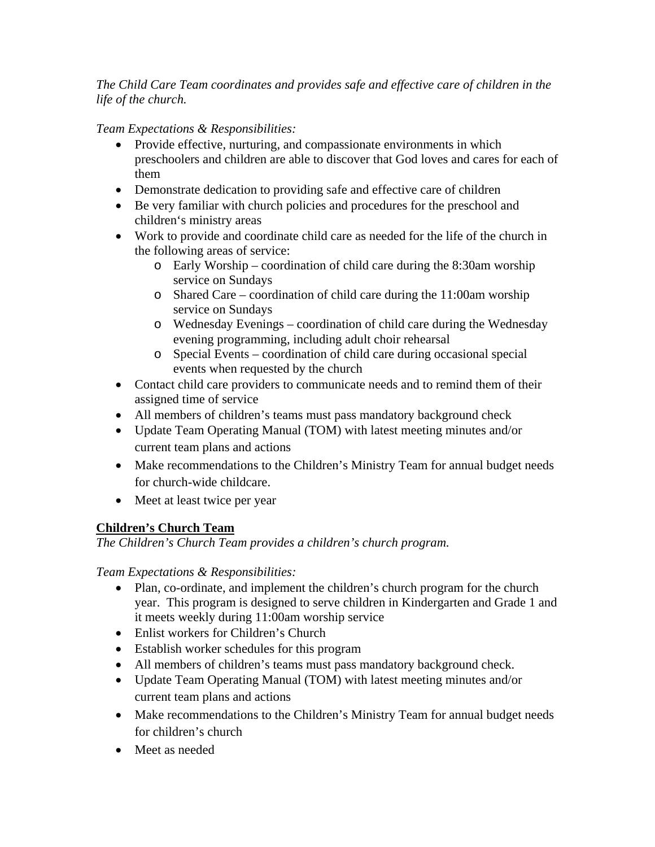*The Child Care Team coordinates and provides safe and effective care of children in the life of the church.* 

*Team Expectations & Responsibilities:* 

- Provide effective, nurturing, and compassionate environments in which preschoolers and children are able to discover that God loves and cares for each of them
- Demonstrate dedication to providing safe and effective care of children
- Be very familiar with church policies and procedures for the preschool and children's ministry areas
- Work to provide and coordinate child care as needed for the life of the church in the following areas of service:
	- o Early Worship coordination of child care during the 8:30am worship service on Sundays
	- o Shared Care coordination of child care during the 11:00am worship service on Sundays
	- o Wednesday Evenings coordination of child care during the Wednesday evening programming, including adult choir rehearsal
	- o Special Events coordination of child care during occasional special events when requested by the church
- Contact child care providers to communicate needs and to remind them of their assigned time of service
- All members of children's teams must pass mandatory background check
- Update Team Operating Manual (TOM) with latest meeting minutes and/or current team plans and actions
- Make recommendations to the Children's Ministry Team for annual budget needs for church-wide childcare.
- Meet at least twice per year

# **Children's Church Team**

*The Children's Church Team provides a children's church program.* 

- Plan, co-ordinate, and implement the children's church program for the church year. This program is designed to serve children in Kindergarten and Grade 1 and it meets weekly during 11:00am worship service
- Enlist workers for Children's Church
- Establish worker schedules for this program
- All members of children's teams must pass mandatory background check.
- Update Team Operating Manual (TOM) with latest meeting minutes and/or current team plans and actions
- Make recommendations to the Children's Ministry Team for annual budget needs for children's church
- Meet as needed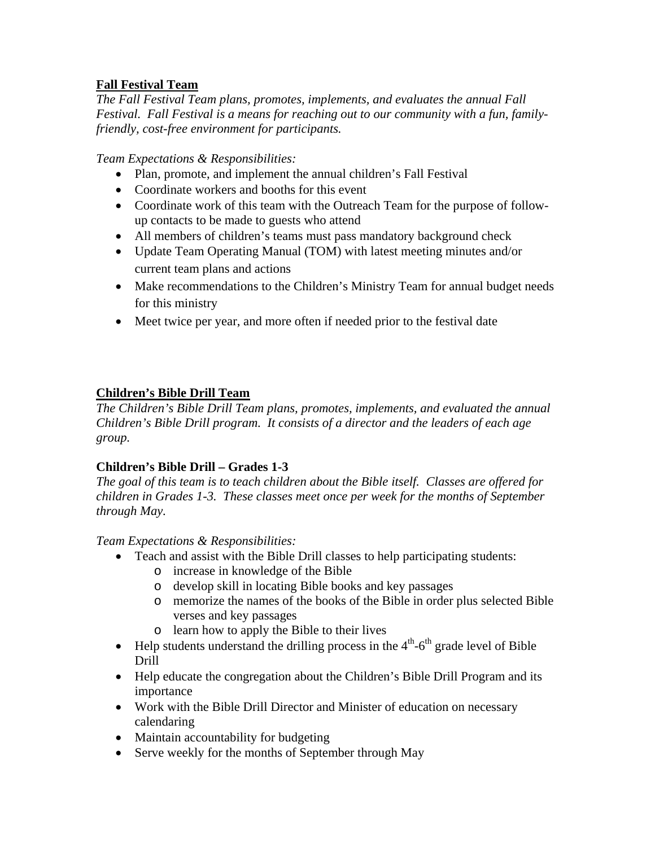# **Fall Festival Team**

*The Fall Festival Team plans, promotes, implements, and evaluates the annual Fall Festival. Fall Festival is a means for reaching out to our community with a fun, familyfriendly, cost-free environment for participants.* 

*Team Expectations & Responsibilities:* 

- Plan, promote, and implement the annual children's Fall Festival
- Coordinate workers and booths for this event
- Coordinate work of this team with the Outreach Team for the purpose of followup contacts to be made to guests who attend
- All members of children's teams must pass mandatory background check
- Update Team Operating Manual (TOM) with latest meeting minutes and/or current team plans and actions
- Make recommendations to the Children's Ministry Team for annual budget needs for this ministry
- Meet twice per year, and more often if needed prior to the festival date

# **Children's Bible Drill Team**

*The Children's Bible Drill Team plans, promotes, implements, and evaluated the annual Children's Bible Drill program. It consists of a director and the leaders of each age group.* 

# **Children's Bible Drill – Grades 1-3**

*The goal of this team is to teach children about the Bible itself. Classes are offered for children in Grades 1-3. These classes meet once per week for the months of September through May.* 

- Teach and assist with the Bible Drill classes to help participating students:
	- o increase in knowledge of the Bible
	- o develop skill in locating Bible books and key passages
	- o memorize the names of the books of the Bible in order plus selected Bible verses and key passages
	- o learn how to apply the Bible to their lives
- $\bullet$  Help students understand the drilling process in the  $4<sup>th</sup>$ -6<sup>th</sup> grade level of Bible Drill
- Help educate the congregation about the Children's Bible Drill Program and its importance
- Work with the Bible Drill Director and Minister of education on necessary calendaring
- Maintain accountability for budgeting
- Serve weekly for the months of September through May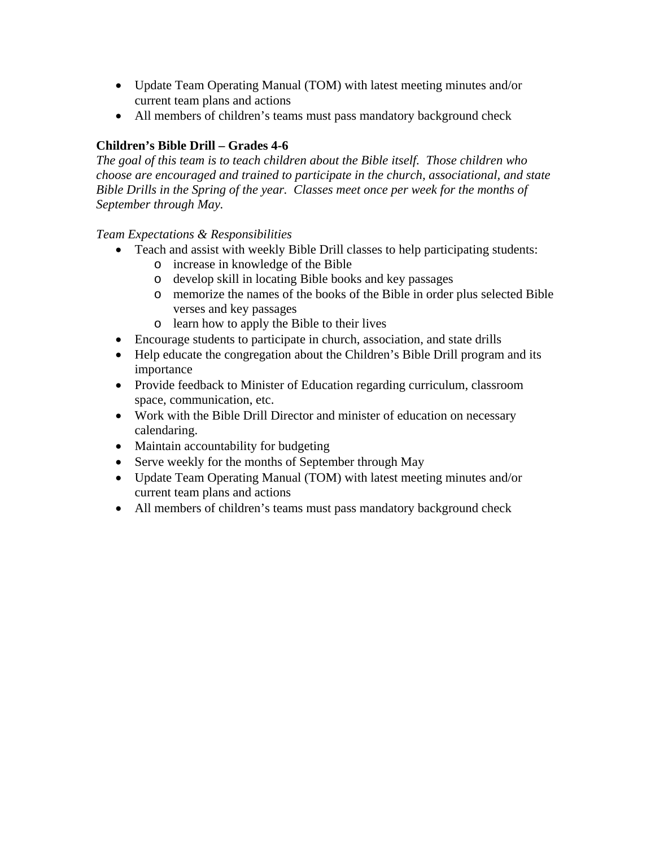- Update Team Operating Manual (TOM) with latest meeting minutes and/or current team plans and actions
- All members of children's teams must pass mandatory background check

# **Children's Bible Drill – Grades 4-6**

*The goal of this team is to teach children about the Bible itself. Those children who choose are encouraged and trained to participate in the church, associational, and state Bible Drills in the Spring of the year. Classes meet once per week for the months of September through May.* 

- Teach and assist with weekly Bible Drill classes to help participating students:
	- o increase in knowledge of the Bible
	- o develop skill in locating Bible books and key passages
	- o memorize the names of the books of the Bible in order plus selected Bible verses and key passages
	- o learn how to apply the Bible to their lives
- Encourage students to participate in church, association, and state drills
- Help educate the congregation about the Children's Bible Drill program and its importance
- Provide feedback to Minister of Education regarding curriculum, classroom space, communication, etc.
- Work with the Bible Drill Director and minister of education on necessary calendaring.
- Maintain accountability for budgeting
- Serve weekly for the months of September through May
- Update Team Operating Manual (TOM) with latest meeting minutes and/or current team plans and actions
- All members of children's teams must pass mandatory background check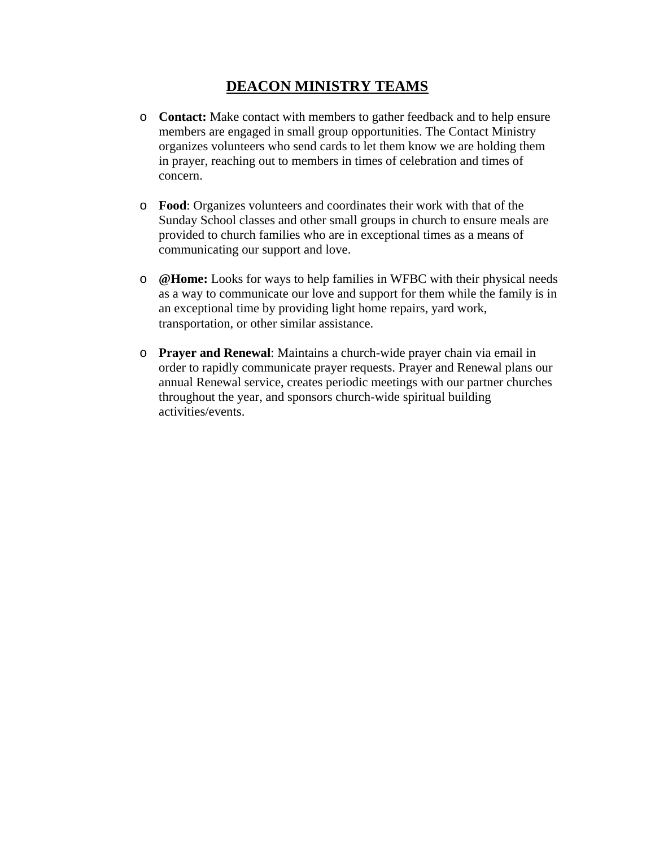# **DEACON MINISTRY TEAMS**

- o **Contact:** Make contact with members to gather feedback and to help ensure members are engaged in small group opportunities. The Contact Ministry organizes volunteers who send cards to let them know we are holding them in prayer, reaching out to members in times of celebration and times of concern.
- o **Food**: Organizes volunteers and coordinates their work with that of the Sunday School classes and other small groups in church to ensure meals are provided to church families who are in exceptional times as a means of communicating our support and love.
- o **@Home:** Looks for ways to help families in WFBC with their physical needs as a way to communicate our love and support for them while the family is in an exceptional time by providing light home repairs, yard work, transportation, or other similar assistance.
- o **Prayer and Renewal**: Maintains a church-wide prayer chain via email in order to rapidly communicate prayer requests. Prayer and Renewal plans our annual Renewal service, creates periodic meetings with our partner churches throughout the year, and sponsors church-wide spiritual building activities/events.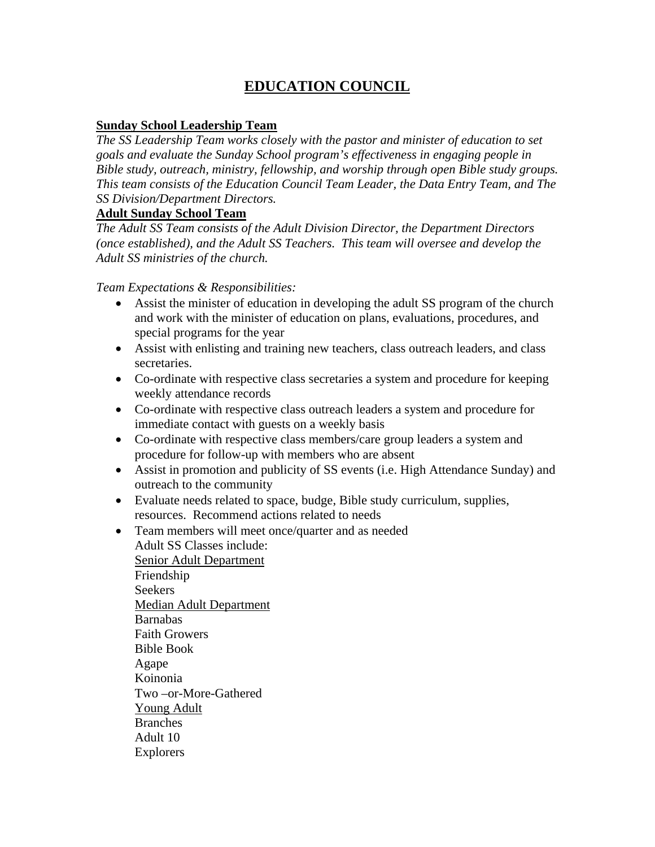# **EDUCATION COUNCIL**

#### **Sunday School Leadership Team**

*The SS Leadership Team works closely with the pastor and minister of education to set goals and evaluate the Sunday School program's effectiveness in engaging people in Bible study, outreach, ministry, fellowship, and worship through open Bible study groups. This team consists of the Education Council Team Leader, the Data Entry Team, and The SS Division/Department Directors.*

#### **Adult Sunday School Team**

*The Adult SS Team consists of the Adult Division Director, the Department Directors (once established), and the Adult SS Teachers. This team will oversee and develop the Adult SS ministries of the church.* 

*Team Expectations & Responsibilities:* 

- Assist the minister of education in developing the adult SS program of the church and work with the minister of education on plans, evaluations, procedures, and special programs for the year
- Assist with enlisting and training new teachers, class outreach leaders, and class secretaries.
- Co-ordinate with respective class secretaries a system and procedure for keeping weekly attendance records
- Co-ordinate with respective class outreach leaders a system and procedure for immediate contact with guests on a weekly basis
- Co-ordinate with respective class members/care group leaders a system and procedure for follow-up with members who are absent
- Assist in promotion and publicity of SS events (i.e. High Attendance Sunday) and outreach to the community
- Evaluate needs related to space, budge, Bible study curriculum, supplies, resources. Recommend actions related to needs
- Team members will meet once/quarter and as needed Adult SS Classes include:

Senior Adult Department Friendship Seekers Median Adult Department Barnabas Faith Growers Bible Book Agape Koinonia Two –or-More-Gathered Young Adult Branches Adult 10 Explorers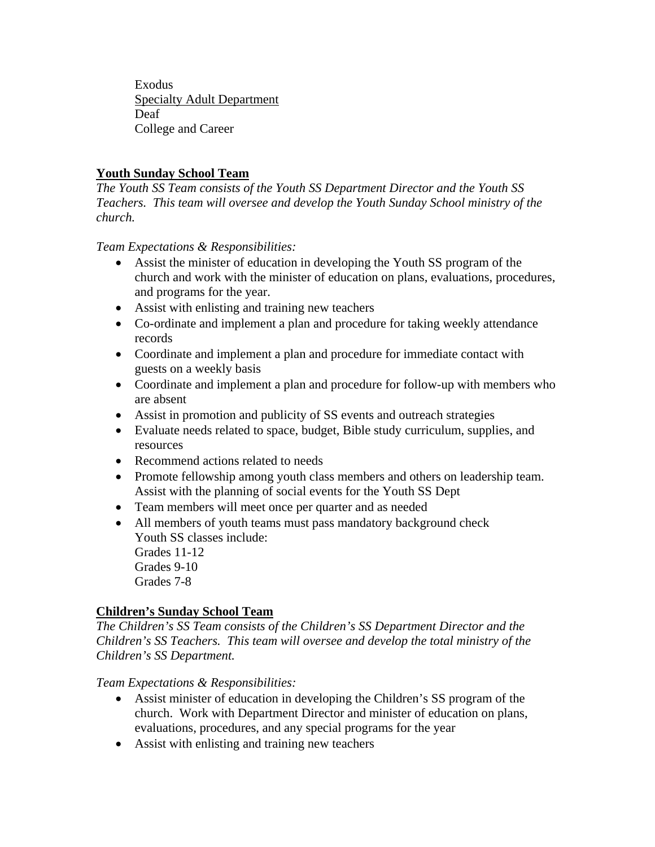Exodus Specialty Adult Department Deaf College and Career

# **Youth Sunday School Team**

*The Youth SS Team consists of the Youth SS Department Director and the Youth SS Teachers. This team will oversee and develop the Youth Sunday School ministry of the church.* 

*Team Expectations & Responsibilities:* 

- Assist the minister of education in developing the Youth SS program of the church and work with the minister of education on plans, evaluations, procedures, and programs for the year.
- Assist with enlisting and training new teachers
- Co-ordinate and implement a plan and procedure for taking weekly attendance records
- Coordinate and implement a plan and procedure for immediate contact with guests on a weekly basis
- Coordinate and implement a plan and procedure for follow-up with members who are absent
- Assist in promotion and publicity of SS events and outreach strategies
- Evaluate needs related to space, budget, Bible study curriculum, supplies, and resources
- Recommend actions related to needs
- Promote fellowship among youth class members and others on leadership team. Assist with the planning of social events for the Youth SS Dept
- Team members will meet once per quarter and as needed
- All members of youth teams must pass mandatory background check Youth SS classes include:

 Grades 11-12 Grades 9-10 Grades 7-8

# **Children's Sunday School Team**

*The Children's SS Team consists of the Children's SS Department Director and the Children's SS Teachers. This team will oversee and develop the total ministry of the Children's SS Department.* 

- Assist minister of education in developing the Children's SS program of the church. Work with Department Director and minister of education on plans, evaluations, procedures, and any special programs for the year
- Assist with enlisting and training new teachers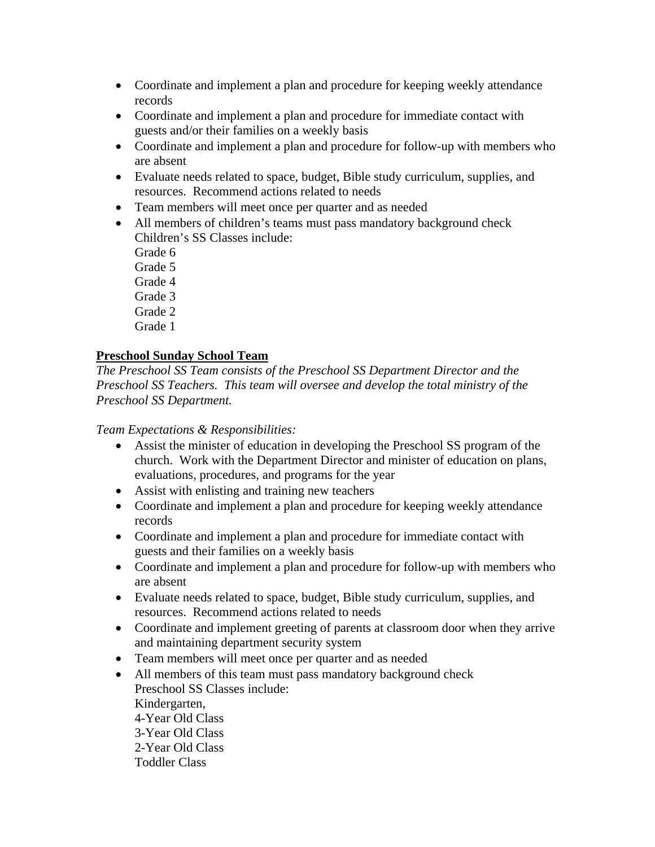- Coordinate and implement a plan and procedure for keeping weekly attendance records
- Coordinate and implement a plan and procedure for immediate contact with guests and/or their families on a weekly basis
- Coordinate and implement a plan and procedure for follow-up with members who are absent
- Evaluate needs related to space, budget, Bible study curriculum, supplies, and resources. Recommend actions related to needs
- Team members will meet once per quarter and as needed
- All members of children's teams must pass mandatory background check Children's SS Classes include:
	- Grade 6
	- Grade 5
	- Grade 4
	- Grade 3
	- Grade 2
	- Grade 1

# **Preschool Sunday School Team**

*The Preschool SS Team consists of the Preschool SS Department Director and the Preschool SS Teachers. This team will oversee and develop the total ministry of the Preschool SS Department.* 

- Assist the minister of education in developing the Preschool SS program of the church. Work with the Department Director and minister of education on plans, evaluations, procedures, and programs for the year
- Assist with enlisting and training new teachers
- Coordinate and implement a plan and procedure for keeping weekly attendance records
- Coordinate and implement a plan and procedure for immediate contact with guests and their families on a weekly basis
- Coordinate and implement a plan and procedure for follow-up with members who are absent
- Evaluate needs related to space, budget, Bible study curriculum, supplies, and resources. Recommend actions related to needs
- Coordinate and implement greeting of parents at classroom door when they arrive and maintaining department security system
- Team members will meet once per quarter and as needed
- All members of this team must pass mandatory background check Preschool SS Classes include: Kindergarten, 4-Year Old Class 3-Year Old Class 2-Year Old Class Toddler Class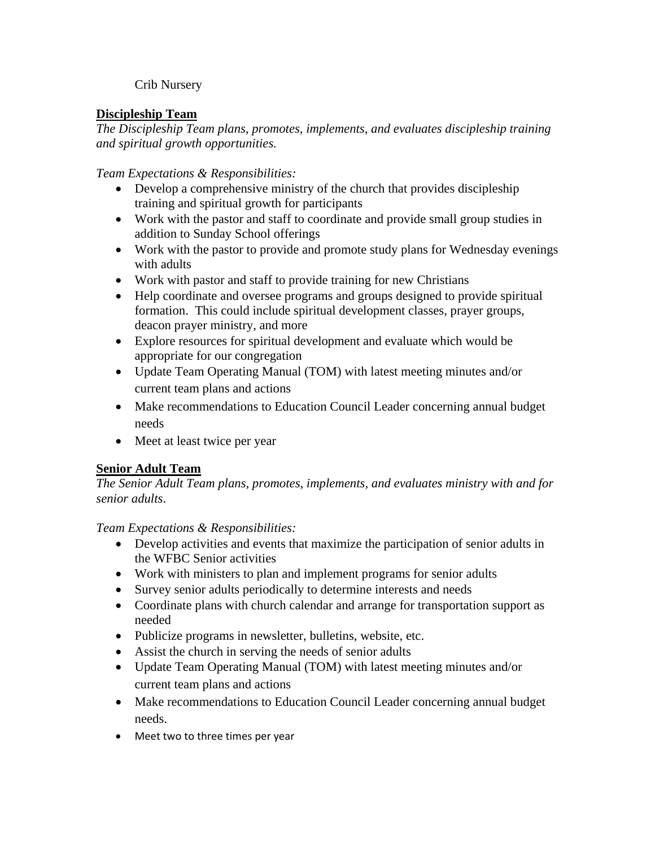## Crib Nursery

# **Discipleship Team**

*The Discipleship Team plans, promotes, implements, and evaluates discipleship training and spiritual growth opportunities.* 

*Team Expectations & Responsibilities:* 

- Develop a comprehensive ministry of the church that provides discipleship training and spiritual growth for participants
- Work with the pastor and staff to coordinate and provide small group studies in addition to Sunday School offerings
- Work with the pastor to provide and promote study plans for Wednesday evenings with adults
- Work with pastor and staff to provide training for new Christians
- Help coordinate and oversee programs and groups designed to provide spiritual formation. This could include spiritual development classes, prayer groups, deacon prayer ministry, and more
- Explore resources for spiritual development and evaluate which would be appropriate for our congregation
- Update Team Operating Manual (TOM) with latest meeting minutes and/or current team plans and actions
- Make recommendations to Education Council Leader concerning annual budget needs
- Meet at least twice per year

# **Senior Adult Team**

*The Senior Adult Team plans, promotes, implements, and evaluates ministry with and for senior adults*.

- Develop activities and events that maximize the participation of senior adults in the WFBC Senior activities
- Work with ministers to plan and implement programs for senior adults
- Survey senior adults periodically to determine interests and needs
- Coordinate plans with church calendar and arrange for transportation support as needed
- Publicize programs in newsletter, bulletins, website, etc.
- Assist the church in serving the needs of senior adults
- Update Team Operating Manual (TOM) with latest meeting minutes and/or current team plans and actions
- Make recommendations to Education Council Leader concerning annual budget needs.
- Meet two to three times per year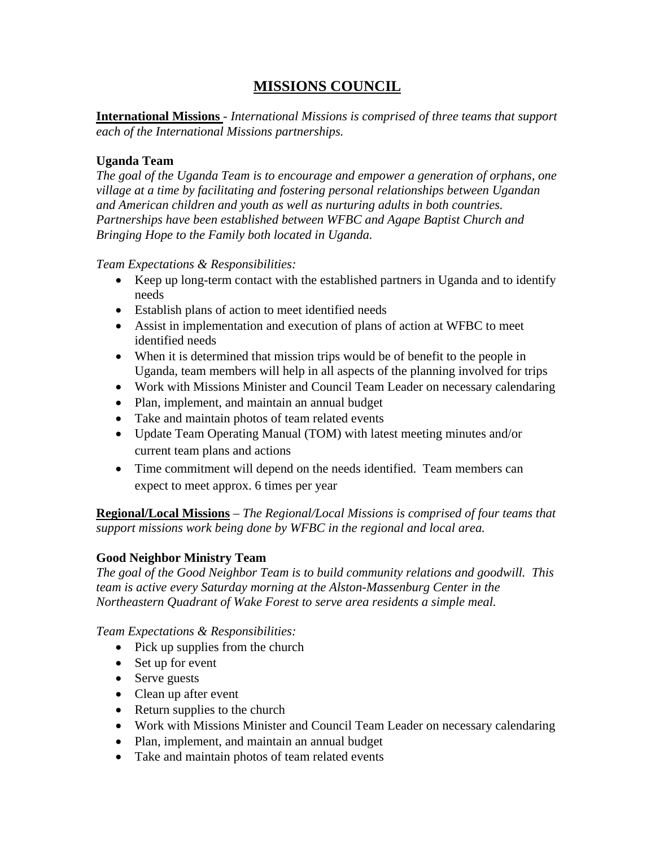# **MISSIONS COUNCIL**

**International Missions** - *International Missions is comprised of three teams that support each of the International Missions partnerships.* 

#### **Uganda Team**

*The goal of the Uganda Team is to encourage and empower a generation of orphans, one village at a time by facilitating and fostering personal relationships between Ugandan and American children and youth as well as nurturing adults in both countries. Partnerships have been established between WFBC and Agape Baptist Church and Bringing Hope to the Family both located in Uganda.* 

*Team Expectations & Responsibilities:* 

- Keep up long-term contact with the established partners in Uganda and to identify needs
- Establish plans of action to meet identified needs
- Assist in implementation and execution of plans of action at WFBC to meet identified needs
- When it is determined that mission trips would be of benefit to the people in Uganda, team members will help in all aspects of the planning involved for trips
- Work with Missions Minister and Council Team Leader on necessary calendaring
- Plan, implement, and maintain an annual budget
- Take and maintain photos of team related events
- Update Team Operating Manual (TOM) with latest meeting minutes and/or current team plans and actions
- Time commitment will depend on the needs identified. Team members can expect to meet approx. 6 times per year

**Regional/Local Missions** – *The Regional/Local Missions is comprised of four teams that support missions work being done by WFBC in the regional and local area.*

## **Good Neighbor Ministry Team**

*The goal of the Good Neighbor Team is to build community relations and goodwill. This team is active every Saturday morning at the Alston-Massenburg Center in the Northeastern Quadrant of Wake Forest to serve area residents a simple meal.* 

- Pick up supplies from the church
- Set up for event
- Serve guests
- Clean up after event
- Return supplies to the church
- Work with Missions Minister and Council Team Leader on necessary calendaring
- Plan, implement, and maintain an annual budget
- Take and maintain photos of team related events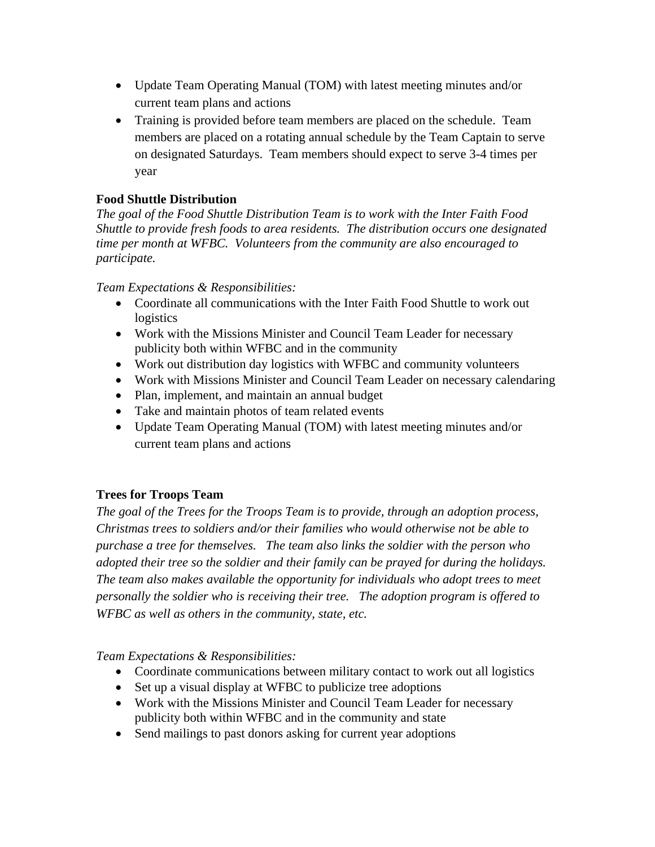- Update Team Operating Manual (TOM) with latest meeting minutes and/or current team plans and actions
- Training is provided before team members are placed on the schedule. Team members are placed on a rotating annual schedule by the Team Captain to serve on designated Saturdays. Team members should expect to serve 3-4 times per year

# **Food Shuttle Distribution**

*The goal of the Food Shuttle Distribution Team is to work with the Inter Faith Food Shuttle to provide fresh foods to area residents. The distribution occurs one designated time per month at WFBC. Volunteers from the community are also encouraged to participate.* 

## *Team Expectations & Responsibilities:*

- Coordinate all communications with the Inter Faith Food Shuttle to work out logistics
- Work with the Missions Minister and Council Team Leader for necessary publicity both within WFBC and in the community
- Work out distribution day logistics with WFBC and community volunteers
- Work with Missions Minister and Council Team Leader on necessary calendaring
- Plan, implement, and maintain an annual budget
- Take and maintain photos of team related events
- Update Team Operating Manual (TOM) with latest meeting minutes and/or current team plans and actions

# **Trees for Troops Team**

*The goal of the Trees for the Troops Team is to provide, through an adoption process, Christmas trees to soldiers and/or their families who would otherwise not be able to purchase a tree for themselves. The team also links the soldier with the person who adopted their tree so the soldier and their family can be prayed for during the holidays. The team also makes available the opportunity for individuals who adopt trees to meet personally the soldier who is receiving their tree. The adoption program is offered to WFBC as well as others in the community, state, etc.* 

- Coordinate communications between military contact to work out all logistics
- Set up a visual display at WFBC to publicize tree adoptions
- Work with the Missions Minister and Council Team Leader for necessary publicity both within WFBC and in the community and state
- Send mailings to past donors asking for current year adoptions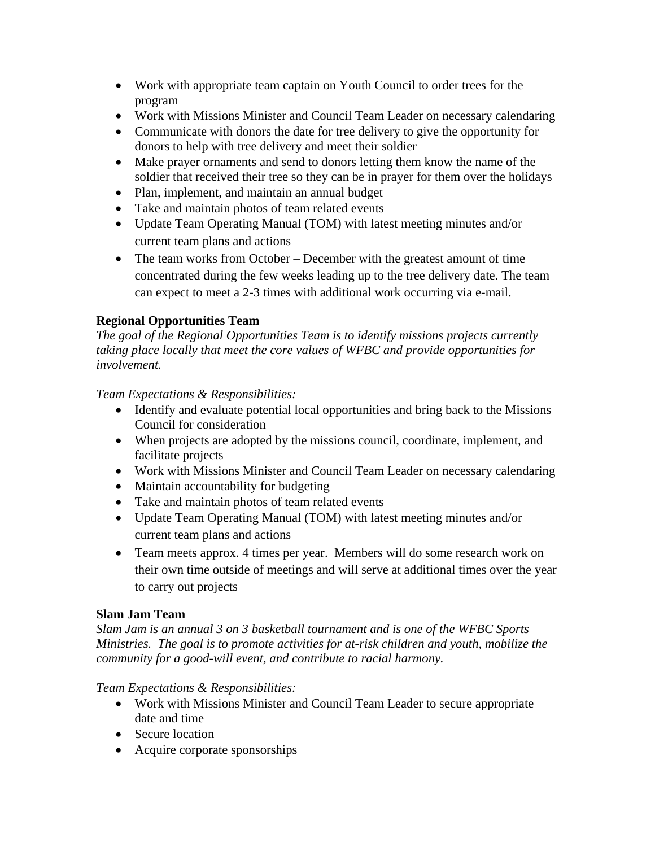- Work with appropriate team captain on Youth Council to order trees for the program
- Work with Missions Minister and Council Team Leader on necessary calendaring
- Communicate with donors the date for tree delivery to give the opportunity for donors to help with tree delivery and meet their soldier
- Make prayer ornaments and send to donors letting them know the name of the soldier that received their tree so they can be in prayer for them over the holidays
- Plan, implement, and maintain an annual budget
- Take and maintain photos of team related events
- Update Team Operating Manual (TOM) with latest meeting minutes and/or current team plans and actions
- The team works from October December with the greatest amount of time concentrated during the few weeks leading up to the tree delivery date. The team can expect to meet a 2-3 times with additional work occurring via e-mail.

# **Regional Opportunities Team**

*The goal of the Regional Opportunities Team is to identify missions projects currently taking place locally that meet the core values of WFBC and provide opportunities for involvement.* 

#### *Team Expectations & Responsibilities:*

- Identify and evaluate potential local opportunities and bring back to the Missions Council for consideration
- When projects are adopted by the missions council, coordinate, implement, and facilitate projects
- Work with Missions Minister and Council Team Leader on necessary calendaring
- Maintain accountability for budgeting
- Take and maintain photos of team related events
- Update Team Operating Manual (TOM) with latest meeting minutes and/or current team plans and actions
- Team meets approx. 4 times per year. Members will do some research work on their own time outside of meetings and will serve at additional times over the year to carry out projects

## **Slam Jam Team**

*Slam Jam is an annual 3 on 3 basketball tournament and is one of the WFBC Sports Ministries. The goal is to promote activities for at-risk children and youth, mobilize the community for a good-will event, and contribute to racial harmony.* 

- Work with Missions Minister and Council Team Leader to secure appropriate date and time
- Secure location
- Acquire corporate sponsorships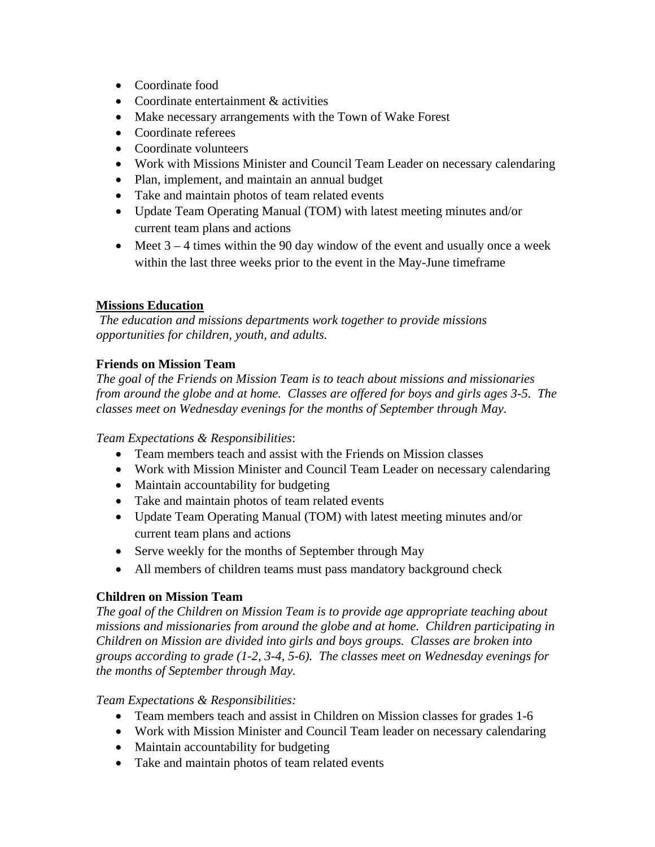- Coordinate food
- Coordinate entertainment & activities
- Make necessary arrangements with the Town of Wake Forest
- Coordinate referees
- Coordinate volunteers
- Work with Missions Minister and Council Team Leader on necessary calendaring
- Plan, implement, and maintain an annual budget
- Take and maintain photos of team related events
- Update Team Operating Manual (TOM) with latest meeting minutes and/or current team plans and actions
- Meet  $3 4$  times within the 90 day window of the event and usually once a week within the last three weeks prior to the event in the May-June timeframe

## **Missions Education**

*The education and missions departments work together to provide missions opportunities for children, youth, and adults.* 

# **Friends on Mission Team**

*The goal of the Friends on Mission Team is to teach about missions and missionaries from around the globe and at home. Classes are offered for boys and girls ages 3-5. The classes meet on Wednesday evenings for the months of September through May.* 

*Team Expectations & Responsibilities*:

- Team members teach and assist with the Friends on Mission classes
- Work with Mission Minister and Council Team Leader on necessary calendaring
- Maintain accountability for budgeting
- Take and maintain photos of team related events
- Update Team Operating Manual (TOM) with latest meeting minutes and/or current team plans and actions
- Serve weekly for the months of September through May
- All members of children teams must pass mandatory background check

## **Children on Mission Team**

*The goal of the Children on Mission Team is to provide age appropriate teaching about missions and missionaries from around the globe and at home. Children participating in Children on Mission are divided into girls and boys groups. Classes are broken into groups according to grade (1-2, 3-4, 5-6). The classes meet on Wednesday evenings for the months of September through May.* 

- Team members teach and assist in Children on Mission classes for grades 1-6
- Work with Mission Minister and Council Team leader on necessary calendaring
- Maintain accountability for budgeting
- Take and maintain photos of team related events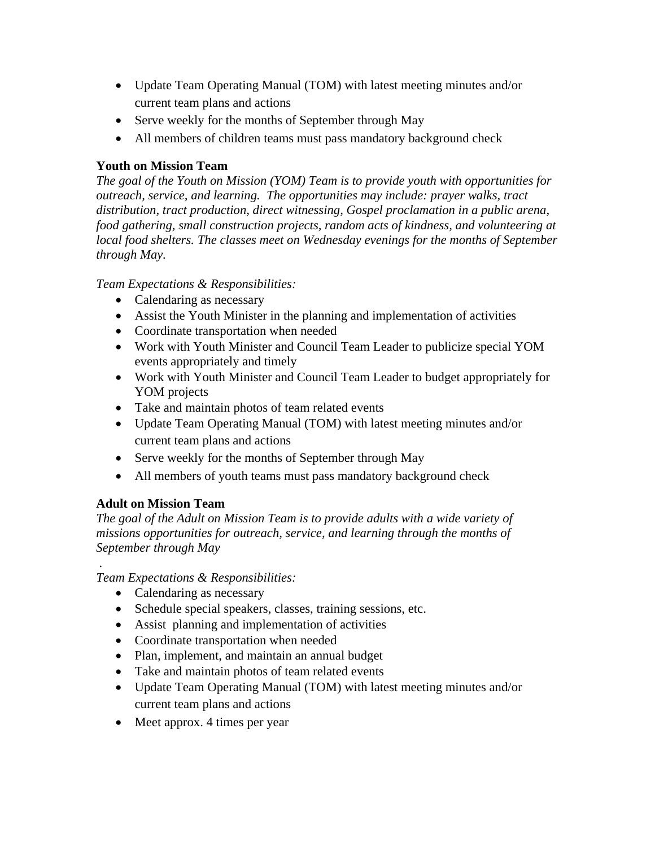- Update Team Operating Manual (TOM) with latest meeting minutes and/or current team plans and actions
- Serve weekly for the months of September through May
- All members of children teams must pass mandatory background check

# **Youth on Mission Team**

*The goal of the Youth on Mission (YOM) Team is to provide youth with opportunities for outreach, service, and learning. The opportunities may include: prayer walks, tract distribution, tract production, direct witnessing, Gospel proclamation in a public arena, food gathering, small construction projects, random acts of kindness, and volunteering at local food shelters. The classes meet on Wednesday evenings for the months of September through May.* 

# *Team Expectations & Responsibilities:*

- Calendaring as necessary
- Assist the Youth Minister in the planning and implementation of activities
- Coordinate transportation when needed
- Work with Youth Minister and Council Team Leader to publicize special YOM events appropriately and timely
- Work with Youth Minister and Council Team Leader to budget appropriately for YOM projects
- Take and maintain photos of team related events
- Update Team Operating Manual (TOM) with latest meeting minutes and/or current team plans and actions
- Serve weekly for the months of September through May
- All members of youth teams must pass mandatory background check

# **Adult on Mission Team**

 *.* 

*The goal of the Adult on Mission Team is to provide adults with a wide variety of missions opportunities for outreach, service, and learning through the months of September through May* 

- Calendaring as necessary
- Schedule special speakers, classes, training sessions, etc.
- Assist planning and implementation of activities
- Coordinate transportation when needed
- Plan, implement, and maintain an annual budget
- Take and maintain photos of team related events
- Update Team Operating Manual (TOM) with latest meeting minutes and/or current team plans and actions
- Meet approx. 4 times per year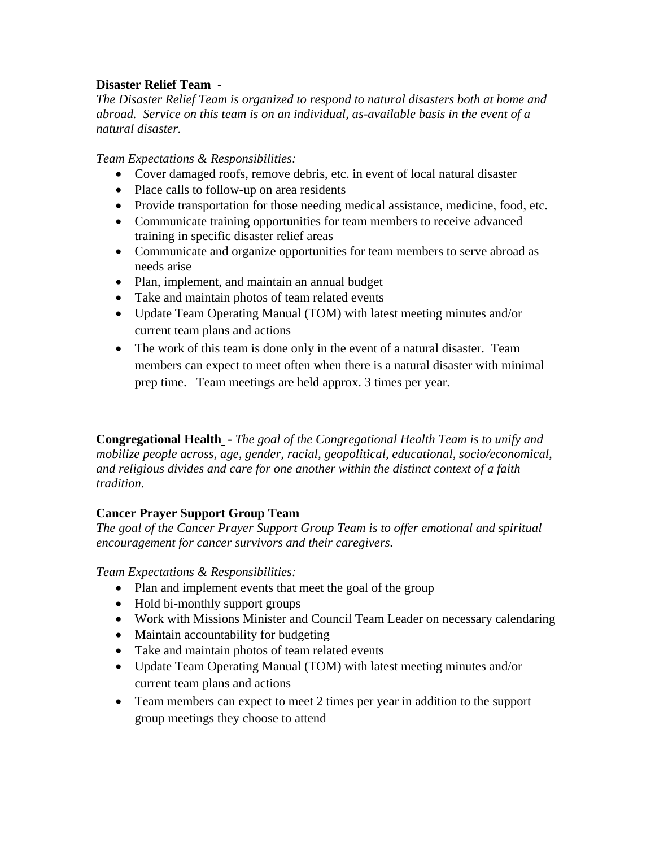## **Disaster Relief Team -**

*The Disaster Relief Team is organized to respond to natural disasters both at home and abroad. Service on this team is on an individual, as-available basis in the event of a natural disaster.* 

*Team Expectations & Responsibilities:* 

- Cover damaged roofs, remove debris, etc. in event of local natural disaster
- Place calls to follow-up on area residents
- Provide transportation for those needing medical assistance, medicine, food, etc.
- Communicate training opportunities for team members to receive advanced training in specific disaster relief areas
- Communicate and organize opportunities for team members to serve abroad as needs arise
- Plan, implement, and maintain an annual budget
- Take and maintain photos of team related events
- Update Team Operating Manual (TOM) with latest meeting minutes and/or current team plans and actions
- The work of this team is done only in the event of a natural disaster. Team members can expect to meet often when there is a natural disaster with minimal prep time. Team meetings are held approx. 3 times per year.

**Congregational Health -** *The goal of the Congregational Health Team is to unify and mobilize people across, age, gender, racial, geopolitical, educational, socio/economical, and religious divides and care for one another within the distinct context of a faith tradition.* 

## **Cancer Prayer Support Group Team**

*The goal of the Cancer Prayer Support Group Team is to offer emotional and spiritual encouragement for cancer survivors and their caregivers.* 

- Plan and implement events that meet the goal of the group
- Hold bi-monthly support groups
- Work with Missions Minister and Council Team Leader on necessary calendaring
- Maintain accountability for budgeting
- Take and maintain photos of team related events
- Update Team Operating Manual (TOM) with latest meeting minutes and/or current team plans and actions
- Team members can expect to meet 2 times per year in addition to the support group meetings they choose to attend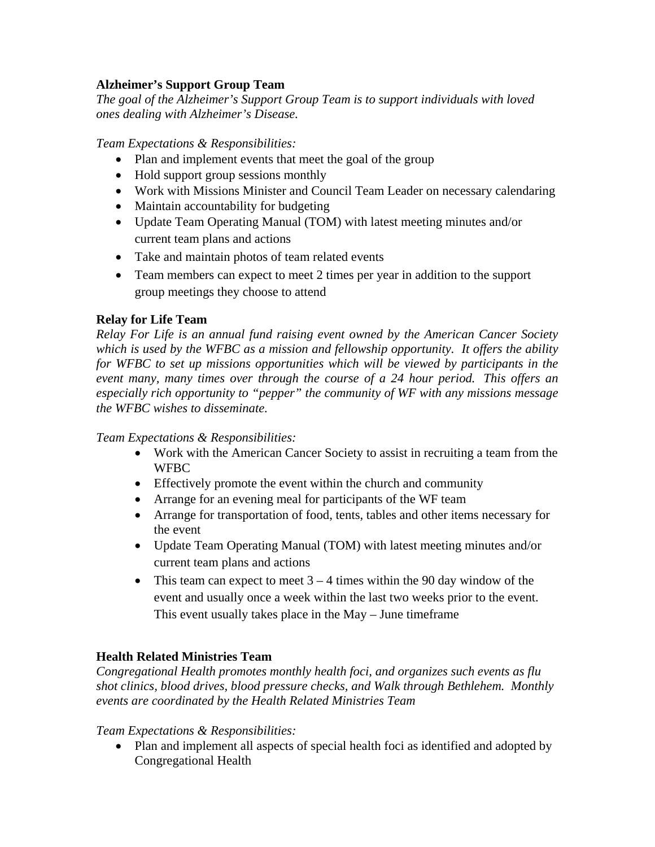## **Alzheimer's Support Group Team**

*The goal of the Alzheimer's Support Group Team is to support individuals with loved ones dealing with Alzheimer's Disease.* 

*Team Expectations & Responsibilities:* 

- Plan and implement events that meet the goal of the group
- Hold support group sessions monthly
- Work with Missions Minister and Council Team Leader on necessary calendaring
- Maintain accountability for budgeting
- Update Team Operating Manual (TOM) with latest meeting minutes and/or current team plans and actions
- Take and maintain photos of team related events
- Team members can expect to meet 2 times per year in addition to the support group meetings they choose to attend

# **Relay for Life Team**

*Relay For Life is an annual fund raising event owned by the American Cancer Society which is used by the WFBC as a mission and fellowship opportunity. It offers the ability for WFBC to set up missions opportunities which will be viewed by participants in the event many, many times over through the course of a 24 hour period. This offers an especially rich opportunity to "pepper" the community of WF with any missions message the WFBC wishes to disseminate.* 

## *Team Expectations & Responsibilities:*

- Work with the American Cancer Society to assist in recruiting a team from the WFBC
- Effectively promote the event within the church and community
- Arrange for an evening meal for participants of the WF team
- Arrange for transportation of food, tents, tables and other items necessary for the event
- Update Team Operating Manual (TOM) with latest meeting minutes and/or current team plans and actions
- This team can expect to meet  $3 4$  times within the 90 day window of the event and usually once a week within the last two weeks prior to the event. This event usually takes place in the May – June timeframe

# **Health Related Ministries Team**

*Congregational Health promotes monthly health foci, and organizes such events as flu shot clinics, blood drives, blood pressure checks, and Walk through Bethlehem. Monthly events are coordinated by the Health Related Ministries Team* 

## *Team Expectations & Responsibilities:*

• Plan and implement all aspects of special health foci as identified and adopted by Congregational Health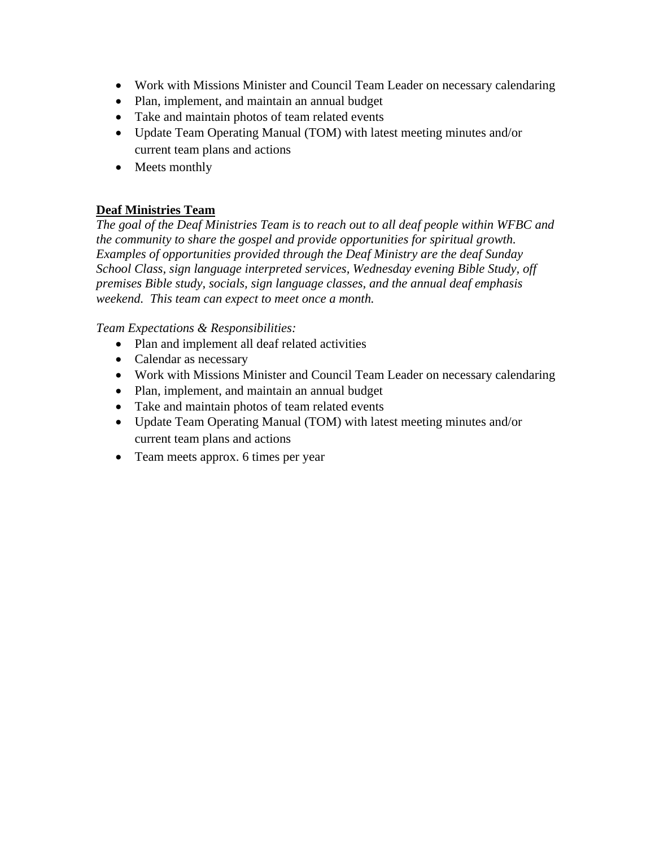- Work with Missions Minister and Council Team Leader on necessary calendaring
- Plan, implement, and maintain an annual budget
- Take and maintain photos of team related events
- Update Team Operating Manual (TOM) with latest meeting minutes and/or current team plans and actions
- Meets monthly

# **Deaf Ministries Team**

*The goal of the Deaf Ministries Team is to reach out to all deaf people within WFBC and the community to share the gospel and provide opportunities for spiritual growth. Examples of opportunities provided through the Deaf Ministry are the deaf Sunday School Class, sign language interpreted services, Wednesday evening Bible Study, off premises Bible study, socials, sign language classes, and the annual deaf emphasis weekend. This team can expect to meet once a month.* 

- Plan and implement all deaf related activities
- Calendar as necessary
- Work with Missions Minister and Council Team Leader on necessary calendaring
- Plan, implement, and maintain an annual budget
- Take and maintain photos of team related events
- Update Team Operating Manual (TOM) with latest meeting minutes and/or current team plans and actions
- Team meets approx. 6 times per year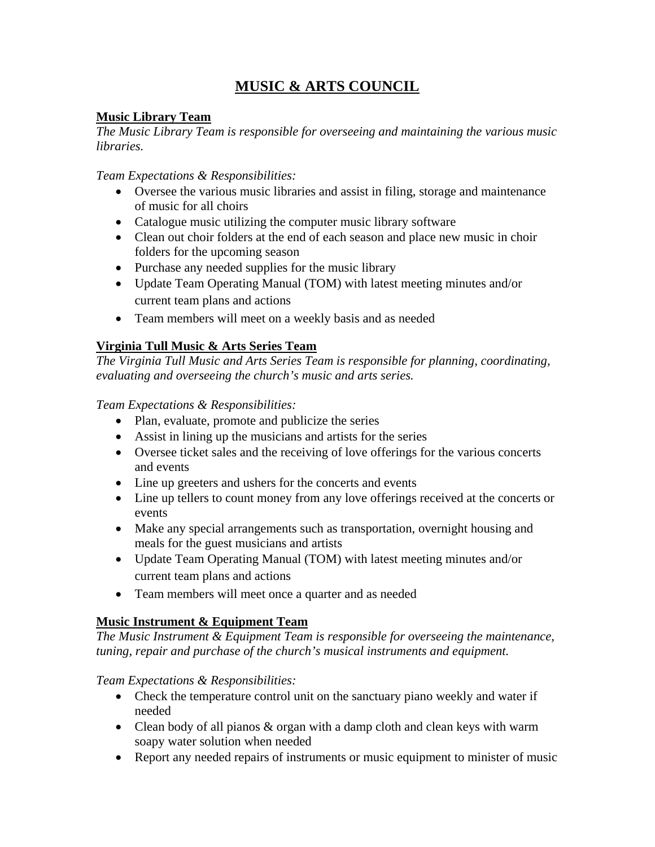# **MUSIC & ARTS COUNCIL**

# **Music Library Team**

*The Music Library Team is responsible for overseeing and maintaining the various music libraries.* 

*Team Expectations & Responsibilities:* 

- Oversee the various music libraries and assist in filing, storage and maintenance of music for all choirs
- Catalogue music utilizing the computer music library software
- Clean out choir folders at the end of each season and place new music in choir folders for the upcoming season
- Purchase any needed supplies for the music library
- Update Team Operating Manual (TOM) with latest meeting minutes and/or current team plans and actions
- Team members will meet on a weekly basis and as needed

# **Virginia Tull Music & Arts Series Team**

*The Virginia Tull Music and Arts Series Team is responsible for planning, coordinating, evaluating and overseeing the church's music and arts series.* 

*Team Expectations & Responsibilities:* 

- Plan, evaluate, promote and publicize the series
- Assist in lining up the musicians and artists for the series
- Oversee ticket sales and the receiving of love offerings for the various concerts and events
- Line up greeters and ushers for the concerts and events
- Line up tellers to count money from any love offerings received at the concerts or events
- Make any special arrangements such as transportation, overnight housing and meals for the guest musicians and artists
- Update Team Operating Manual (TOM) with latest meeting minutes and/or current team plans and actions
- Team members will meet once a quarter and as needed

# **Music Instrument & Equipment Team**

*The Music Instrument & Equipment Team is responsible for overseeing the maintenance, tuning, repair and purchase of the church's musical instruments and equipment.* 

- Check the temperature control unit on the sanctuary piano weekly and water if needed
- Clean body of all pianos & organ with a damp cloth and clean keys with warm soapy water solution when needed
- Report any needed repairs of instruments or music equipment to minister of music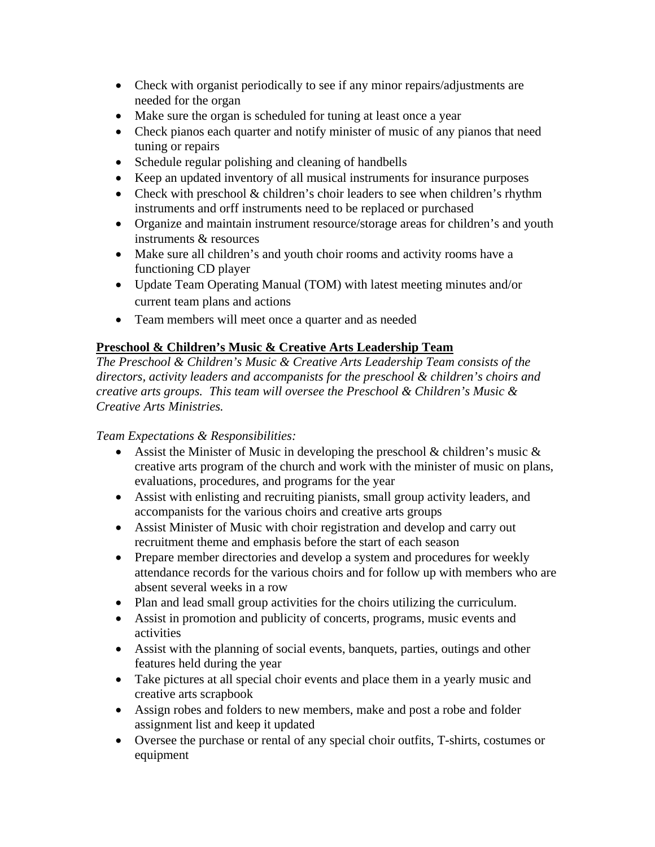- Check with organist periodically to see if any minor repairs/adjustments are needed for the organ
- Make sure the organ is scheduled for tuning at least once a year
- Check pianos each quarter and notify minister of music of any pianos that need tuning or repairs
- Schedule regular polishing and cleaning of handbells
- Keep an updated inventory of all musical instruments for insurance purposes
- Check with preschool  $&$  children's choir leaders to see when children's rhythm instruments and orff instruments need to be replaced or purchased
- Organize and maintain instrument resource/storage areas for children's and youth instruments & resources
- Make sure all children's and youth choir rooms and activity rooms have a functioning CD player
- Update Team Operating Manual (TOM) with latest meeting minutes and/or current team plans and actions
- Team members will meet once a quarter and as needed

# **Preschool & Children's Music & Creative Arts Leadership Team**

*The Preschool & Children's Music & Creative Arts Leadership Team consists of the directors, activity leaders and accompanists for the preschool & children's choirs and creative arts groups. This team will oversee the Preschool & Children's Music & Creative Arts Ministries.* 

- Assist the Minister of Music in developing the preschool  $\&$  children's music  $\&$ creative arts program of the church and work with the minister of music on plans, evaluations, procedures, and programs for the year
- Assist with enlisting and recruiting pianists, small group activity leaders, and accompanists for the various choirs and creative arts groups
- Assist Minister of Music with choir registration and develop and carry out recruitment theme and emphasis before the start of each season
- Prepare member directories and develop a system and procedures for weekly attendance records for the various choirs and for follow up with members who are absent several weeks in a row
- Plan and lead small group activities for the choirs utilizing the curriculum.
- Assist in promotion and publicity of concerts, programs, music events and activities
- Assist with the planning of social events, banquets, parties, outings and other features held during the year
- Take pictures at all special choir events and place them in a yearly music and creative arts scrapbook
- Assign robes and folders to new members, make and post a robe and folder assignment list and keep it updated
- Oversee the purchase or rental of any special choir outfits, T-shirts, costumes or equipment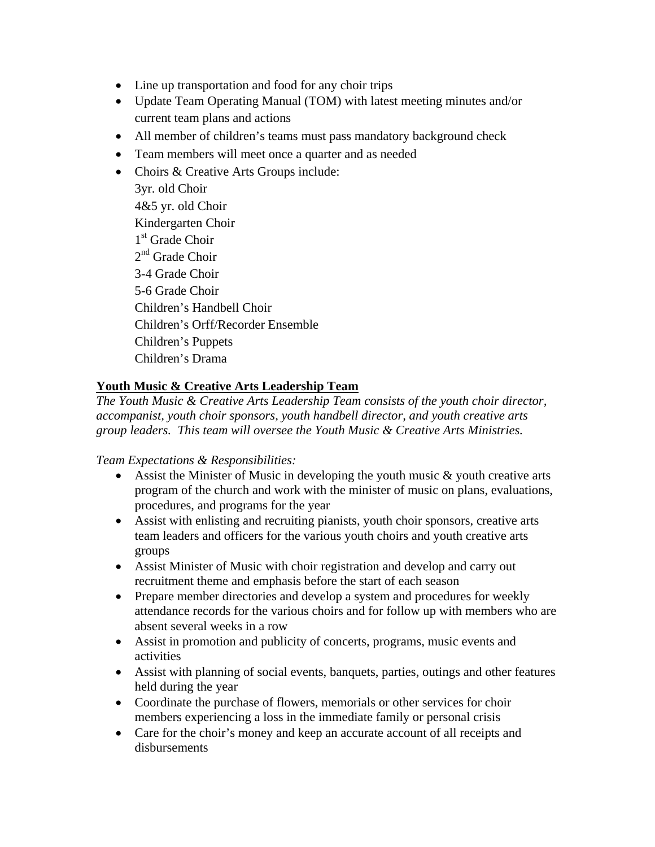- Line up transportation and food for any choir trips
- Update Team Operating Manual (TOM) with latest meeting minutes and/or current team plans and actions
- All member of children's teams must pass mandatory background check
- Team members will meet once a quarter and as needed
- Choirs & Creative Arts Groups include:
	- 3yr. old Choir 4&5 yr. old Choir Kindergarten Choir 1<sup>st</sup> Grade Choir  $2^{nd}$  Grade Choir 3-4 Grade Choir 5-6 Grade Choir Children's Handbell Choir Children's Orff/Recorder Ensemble Children's Puppets Children's Drama

# **Youth Music & Creative Arts Leadership Team**

*The Youth Music & Creative Arts Leadership Team consists of the youth choir director, accompanist, youth choir sponsors, youth handbell director, and youth creative arts group leaders. This team will oversee the Youth Music & Creative Arts Ministries.* 

- Assist the Minister of Music in developing the youth music  $\&$  youth creative arts program of the church and work with the minister of music on plans, evaluations, procedures, and programs for the year
- Assist with enlisting and recruiting pianists, youth choir sponsors, creative arts team leaders and officers for the various youth choirs and youth creative arts groups
- Assist Minister of Music with choir registration and develop and carry out recruitment theme and emphasis before the start of each season
- Prepare member directories and develop a system and procedures for weekly attendance records for the various choirs and for follow up with members who are absent several weeks in a row
- Assist in promotion and publicity of concerts, programs, music events and activities
- Assist with planning of social events, banquets, parties, outings and other features held during the year
- Coordinate the purchase of flowers, memorials or other services for choir members experiencing a loss in the immediate family or personal crisis
- Care for the choir's money and keep an accurate account of all receipts and disbursements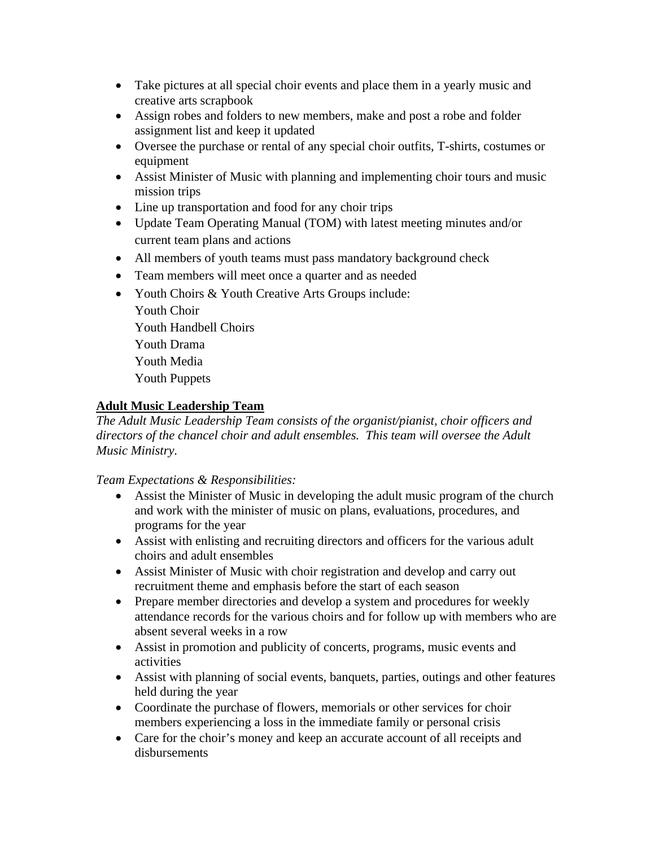- Take pictures at all special choir events and place them in a yearly music and creative arts scrapbook
- Assign robes and folders to new members, make and post a robe and folder assignment list and keep it updated
- Oversee the purchase or rental of any special choir outfits, T-shirts, costumes or equipment
- Assist Minister of Music with planning and implementing choir tours and music mission trips
- Line up transportation and food for any choir trips
- Update Team Operating Manual (TOM) with latest meeting minutes and/or current team plans and actions
- All members of youth teams must pass mandatory background check
- Team members will meet once a quarter and as needed
- Youth Choirs & Youth Creative Arts Groups include:
	- Youth Choir Youth Handbell Choirs Youth Drama Youth Media Youth Puppets

# **Adult Music Leadership Team**

*The Adult Music Leadership Team consists of the organist/pianist, choir officers and directors of the chancel choir and adult ensembles. This team will oversee the Adult Music Ministry.* 

- Assist the Minister of Music in developing the adult music program of the church and work with the minister of music on plans, evaluations, procedures, and programs for the year
- Assist with enlisting and recruiting directors and officers for the various adult choirs and adult ensembles
- Assist Minister of Music with choir registration and develop and carry out recruitment theme and emphasis before the start of each season
- Prepare member directories and develop a system and procedures for weekly attendance records for the various choirs and for follow up with members who are absent several weeks in a row
- Assist in promotion and publicity of concerts, programs, music events and activities
- Assist with planning of social events, banquets, parties, outings and other features held during the year
- Coordinate the purchase of flowers, memorials or other services for choir members experiencing a loss in the immediate family or personal crisis
- Care for the choir's money and keep an accurate account of all receipts and disbursements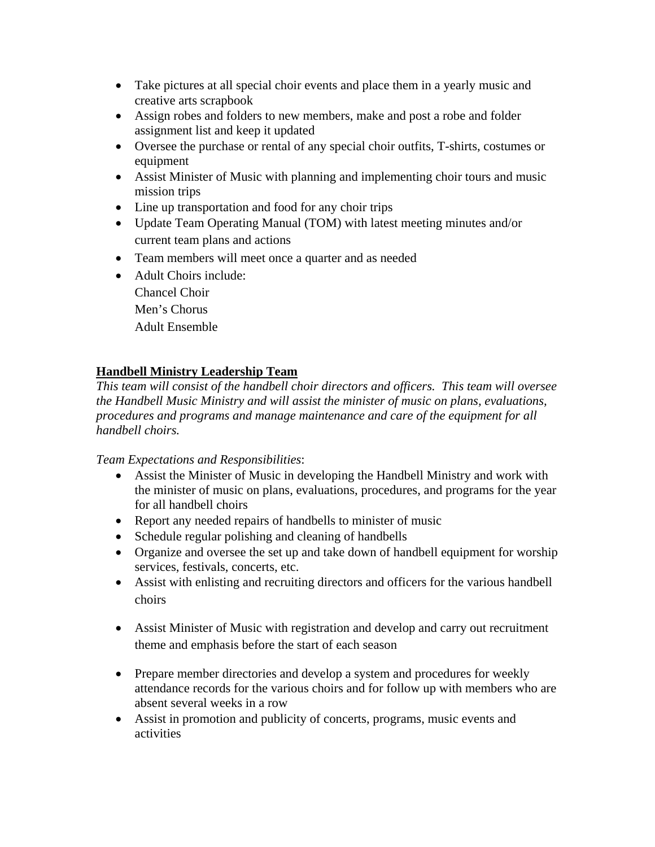- Take pictures at all special choir events and place them in a yearly music and creative arts scrapbook
- Assign robes and folders to new members, make and post a robe and folder assignment list and keep it updated
- Oversee the purchase or rental of any special choir outfits, T-shirts, costumes or equipment
- Assist Minister of Music with planning and implementing choir tours and music mission trips
- Line up transportation and food for any choir trips
- Update Team Operating Manual (TOM) with latest meeting minutes and/or current team plans and actions
- Team members will meet once a quarter and as needed
- Adult Choirs include: Chancel Choir
	- Men's Chorus
	- Adult Ensemble

# **Handbell Ministry Leadership Team**

*This team will consist of the handbell choir directors and officers. This team will oversee the Handbell Music Ministry and will assist the minister of music on plans, evaluations, procedures and programs and manage maintenance and care of the equipment for all handbell choirs.* 

- Assist the Minister of Music in developing the Handbell Ministry and work with the minister of music on plans, evaluations, procedures, and programs for the year for all handbell choirs
- Report any needed repairs of handbells to minister of music
- Schedule regular polishing and cleaning of handbells
- Organize and oversee the set up and take down of handbell equipment for worship services, festivals, concerts, etc.
- Assist with enlisting and recruiting directors and officers for the various handbell choirs
- Assist Minister of Music with registration and develop and carry out recruitment theme and emphasis before the start of each season
- Prepare member directories and develop a system and procedures for weekly attendance records for the various choirs and for follow up with members who are absent several weeks in a row
- Assist in promotion and publicity of concerts, programs, music events and activities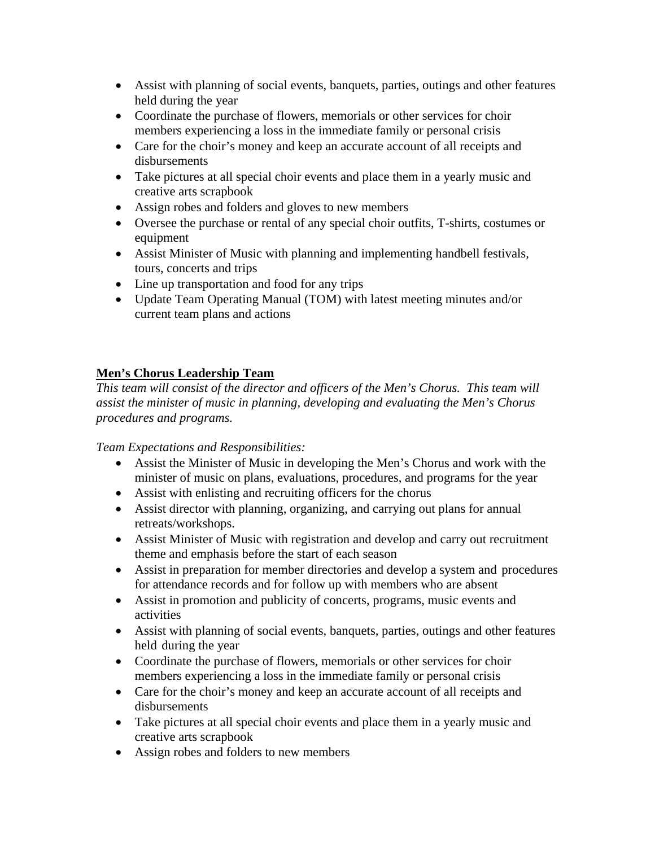- Assist with planning of social events, banquets, parties, outings and other features held during the year
- Coordinate the purchase of flowers, memorials or other services for choir members experiencing a loss in the immediate family or personal crisis
- Care for the choir's money and keep an accurate account of all receipts and disbursements
- Take pictures at all special choir events and place them in a yearly music and creative arts scrapbook
- Assign robes and folders and gloves to new members
- Oversee the purchase or rental of any special choir outfits, T-shirts, costumes or equipment
- Assist Minister of Music with planning and implementing handbell festivals, tours, concerts and trips
- Line up transportation and food for any trips
- Update Team Operating Manual (TOM) with latest meeting minutes and/or current team plans and actions

# **Men's Chorus Leadership Team**

*This team will consist of the director and officers of the Men's Chorus. This team will assist the minister of music in planning, developing and evaluating the Men's Chorus procedures and programs.* 

- Assist the Minister of Music in developing the Men's Chorus and work with the minister of music on plans, evaluations, procedures, and programs for the year
- Assist with enlisting and recruiting officers for the chorus
- Assist director with planning, organizing, and carrying out plans for annual retreats/workshops.
- Assist Minister of Music with registration and develop and carry out recruitment theme and emphasis before the start of each season
- Assist in preparation for member directories and develop a system and procedures for attendance records and for follow up with members who are absent
- Assist in promotion and publicity of concerts, programs, music events and activities
- Assist with planning of social events, banquets, parties, outings and other features held during the year
- Coordinate the purchase of flowers, memorials or other services for choir members experiencing a loss in the immediate family or personal crisis
- Care for the choir's money and keep an accurate account of all receipts and disbursements
- Take pictures at all special choir events and place them in a yearly music and creative arts scrapbook
- Assign robes and folders to new members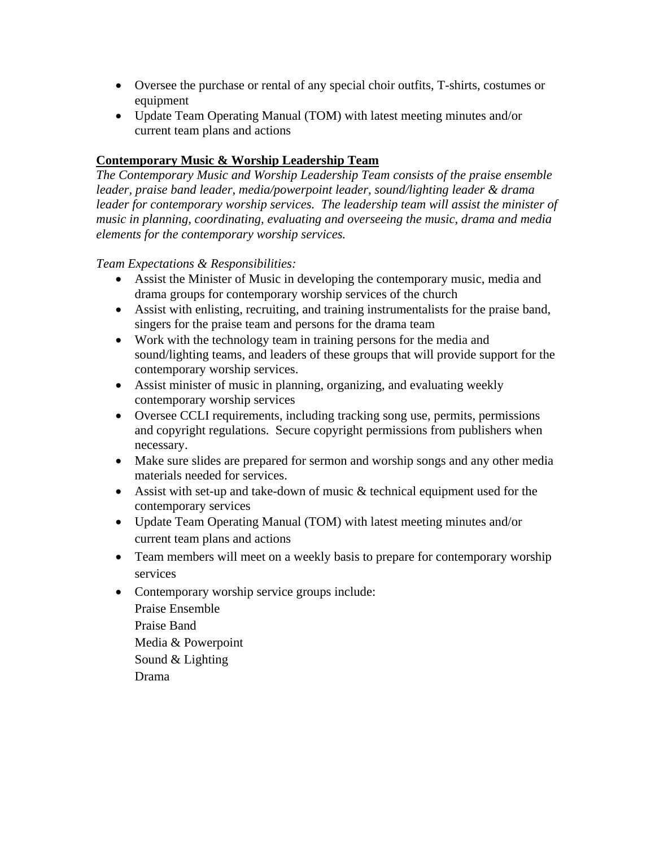- Oversee the purchase or rental of any special choir outfits, T-shirts, costumes or equipment
- Update Team Operating Manual (TOM) with latest meeting minutes and/or current team plans and actions

## **Contemporary Music & Worship Leadership Team**

*The Contemporary Music and Worship Leadership Team consists of the praise ensemble leader, praise band leader, media/powerpoint leader, sound/lighting leader & drama*  leader for contemporary worship services. The leadership team will assist the minister of *music in planning, coordinating, evaluating and overseeing the music, drama and media elements for the contemporary worship services.* 

- Assist the Minister of Music in developing the contemporary music, media and drama groups for contemporary worship services of the church
- Assist with enlisting, recruiting, and training instrumentalists for the praise band, singers for the praise team and persons for the drama team
- Work with the technology team in training persons for the media and sound/lighting teams, and leaders of these groups that will provide support for the contemporary worship services.
- Assist minister of music in planning, organizing, and evaluating weekly contemporary worship services
- Oversee CCLI requirements, including tracking song use, permits, permissions and copyright regulations. Secure copyright permissions from publishers when necessary.
- Make sure slides are prepared for sermon and worship songs and any other media materials needed for services.
- Assist with set-up and take-down of music  $&$  technical equipment used for the contemporary services
- Update Team Operating Manual (TOM) with latest meeting minutes and/or current team plans and actions
- Team members will meet on a weekly basis to prepare for contemporary worship services
- Contemporary worship service groups include: Praise Ensemble Praise Band Media & Powerpoint Sound & Lighting Drama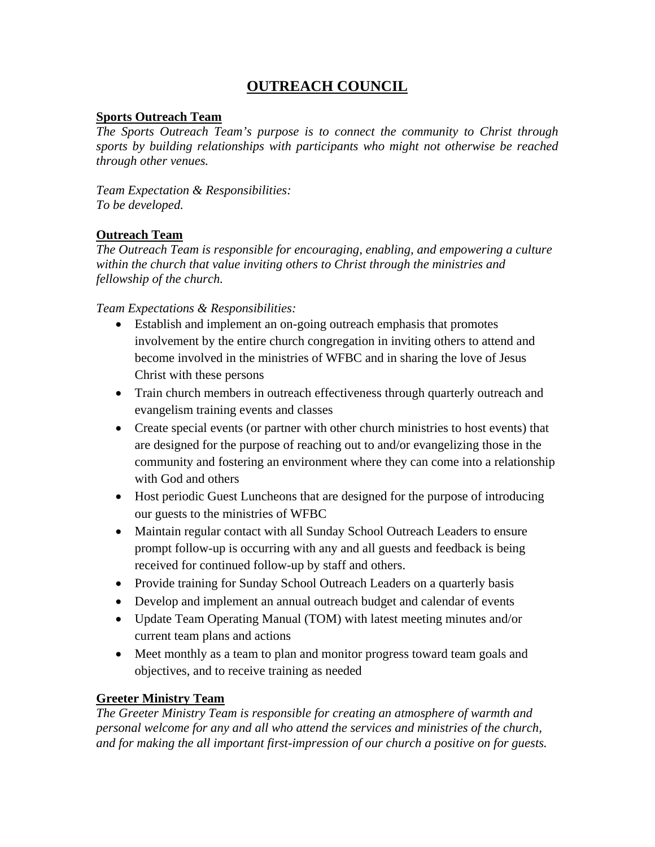# **OUTREACH COUNCIL**

## **Sports Outreach Team**

*The Sports Outreach Team's purpose is to connect the community to Christ through sports by building relationships with participants who might not otherwise be reached through other venues.* 

*Team Expectation & Responsibilities: To be developed.* 

## **Outreach Team**

*The Outreach Team is responsible for encouraging, enabling, and empowering a culture within the church that value inviting others to Christ through the ministries and fellowship of the church.* 

*Team Expectations & Responsibilities:* 

- Establish and implement an on-going outreach emphasis that promotes involvement by the entire church congregation in inviting others to attend and become involved in the ministries of WFBC and in sharing the love of Jesus Christ with these persons
- Train church members in outreach effectiveness through quarterly outreach and evangelism training events and classes
- Create special events (or partner with other church ministries to host events) that are designed for the purpose of reaching out to and/or evangelizing those in the community and fostering an environment where they can come into a relationship with God and others
- Host periodic Guest Luncheons that are designed for the purpose of introducing our guests to the ministries of WFBC
- Maintain regular contact with all Sunday School Outreach Leaders to ensure prompt follow-up is occurring with any and all guests and feedback is being received for continued follow-up by staff and others.
- Provide training for Sunday School Outreach Leaders on a quarterly basis
- Develop and implement an annual outreach budget and calendar of events
- Update Team Operating Manual (TOM) with latest meeting minutes and/or current team plans and actions
- Meet monthly as a team to plan and monitor progress toward team goals and objectives, and to receive training as needed

## **Greeter Ministry Team**

*The Greeter Ministry Team is responsible for creating an atmosphere of warmth and personal welcome for any and all who attend the services and ministries of the church, and for making the all important first-impression of our church a positive on for guests.*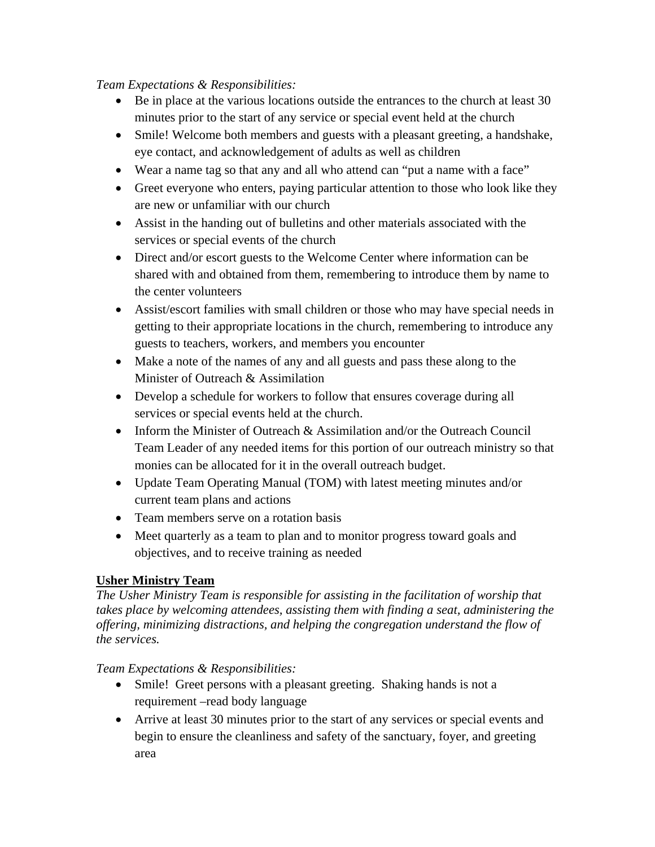## *Team Expectations & Responsibilities:*

- $\bullet$  Be in place at the various locations outside the entrances to the church at least 30 minutes prior to the start of any service or special event held at the church
- Smile! Welcome both members and guests with a pleasant greeting, a handshake, eye contact, and acknowledgement of adults as well as children
- Wear a name tag so that any and all who attend can "put a name with a face"
- Greet everyone who enters, paying particular attention to those who look like they are new or unfamiliar with our church
- Assist in the handing out of bulletins and other materials associated with the services or special events of the church
- Direct and/or escort guests to the Welcome Center where information can be shared with and obtained from them, remembering to introduce them by name to the center volunteers
- Assist/escort families with small children or those who may have special needs in getting to their appropriate locations in the church, remembering to introduce any guests to teachers, workers, and members you encounter
- Make a note of the names of any and all guests and pass these along to the Minister of Outreach & Assimilation
- Develop a schedule for workers to follow that ensures coverage during all services or special events held at the church.
- Inform the Minister of Outreach & Assimilation and/or the Outreach Council Team Leader of any needed items for this portion of our outreach ministry so that monies can be allocated for it in the overall outreach budget.
- Update Team Operating Manual (TOM) with latest meeting minutes and/or current team plans and actions
- Team members serve on a rotation basis
- Meet quarterly as a team to plan and to monitor progress toward goals and objectives, and to receive training as needed

# **Usher Ministry Team**

*The Usher Ministry Team is responsible for assisting in the facilitation of worship that takes place by welcoming attendees, assisting them with finding a seat, administering the offering, minimizing distractions, and helping the congregation understand the flow of the services.* 

- Smile! Greet persons with a pleasant greeting. Shaking hands is not a requirement –read body language
- Arrive at least 30 minutes prior to the start of any services or special events and begin to ensure the cleanliness and safety of the sanctuary, foyer, and greeting area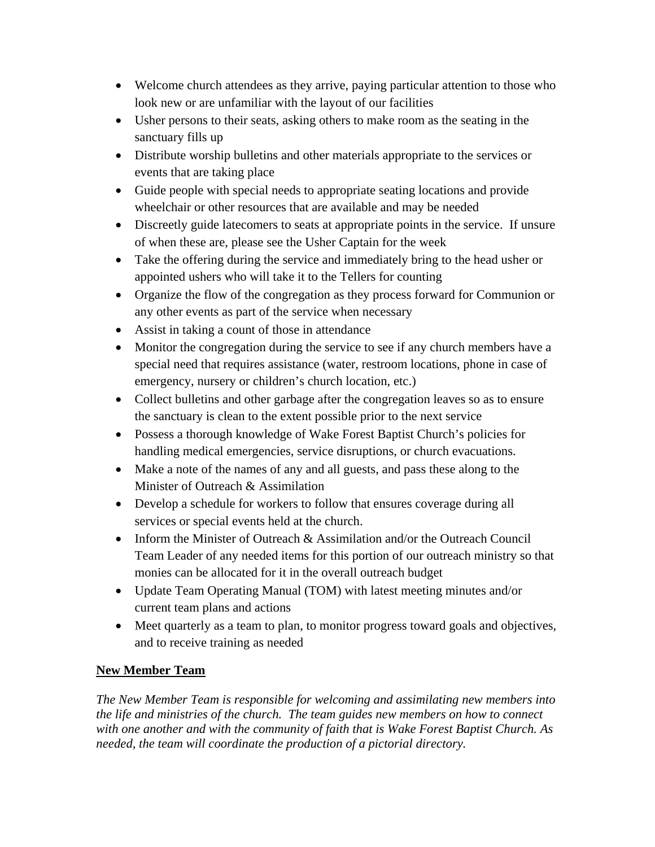- Welcome church attendees as they arrive, paying particular attention to those who look new or are unfamiliar with the layout of our facilities
- Usher persons to their seats, asking others to make room as the seating in the sanctuary fills up
- Distribute worship bulletins and other materials appropriate to the services or events that are taking place
- Guide people with special needs to appropriate seating locations and provide wheelchair or other resources that are available and may be needed
- Discreetly guide latecomers to seats at appropriate points in the service. If unsure of when these are, please see the Usher Captain for the week
- Take the offering during the service and immediately bring to the head usher or appointed ushers who will take it to the Tellers for counting
- Organize the flow of the congregation as they process forward for Communion or any other events as part of the service when necessary
- Assist in taking a count of those in attendance
- Monitor the congregation during the service to see if any church members have a special need that requires assistance (water, restroom locations, phone in case of emergency, nursery or children's church location, etc.)
- Collect bulletins and other garbage after the congregation leaves so as to ensure the sanctuary is clean to the extent possible prior to the next service
- Possess a thorough knowledge of Wake Forest Baptist Church's policies for handling medical emergencies, service disruptions, or church evacuations.
- Make a note of the names of any and all guests, and pass these along to the Minister of Outreach & Assimilation
- Develop a schedule for workers to follow that ensures coverage during all services or special events held at the church.
- Inform the Minister of Outreach & Assimilation and/or the Outreach Council Team Leader of any needed items for this portion of our outreach ministry so that monies can be allocated for it in the overall outreach budget
- Update Team Operating Manual (TOM) with latest meeting minutes and/or current team plans and actions
- Meet quarterly as a team to plan, to monitor progress toward goals and objectives, and to receive training as needed

# **New Member Team**

*The New Member Team is responsible for welcoming and assimilating new members into the life and ministries of the church. The team guides new members on how to connect with one another and with the community of faith that is Wake Forest Baptist Church. As needed, the team will coordinate the production of a pictorial directory.*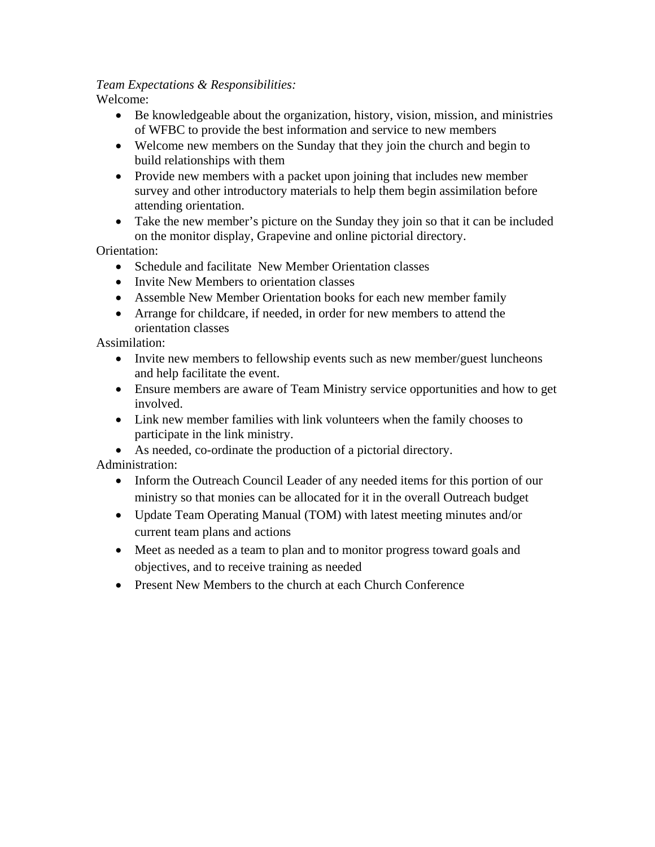# *Team Expectations & Responsibilities:*

Welcome:

- Be knowledgeable about the organization, history, vision, mission, and ministries of WFBC to provide the best information and service to new members
- Welcome new members on the Sunday that they join the church and begin to build relationships with them
- Provide new members with a packet upon joining that includes new member survey and other introductory materials to help them begin assimilation before attending orientation.
- Take the new member's picture on the Sunday they join so that it can be included on the monitor display, Grapevine and online pictorial directory.

Orientation:

- Schedule and facilitate New Member Orientation classes
- Invite New Members to orientation classes
- Assemble New Member Orientation books for each new member family
- Arrange for childcare, if needed, in order for new members to attend the orientation classes

Assimilation:

- Invite new members to fellowship events such as new member/guest luncheons and help facilitate the event.
- Ensure members are aware of Team Ministry service opportunities and how to get involved.
- Link new member families with link volunteers when the family chooses to participate in the link ministry.
- As needed, co-ordinate the production of a pictorial directory.

Administration:

- Inform the Outreach Council Leader of any needed items for this portion of our ministry so that monies can be allocated for it in the overall Outreach budget
- Update Team Operating Manual (TOM) with latest meeting minutes and/or current team plans and actions
- Meet as needed as a team to plan and to monitor progress toward goals and objectives, and to receive training as needed
- **•** Present New Members to the church at each Church Conference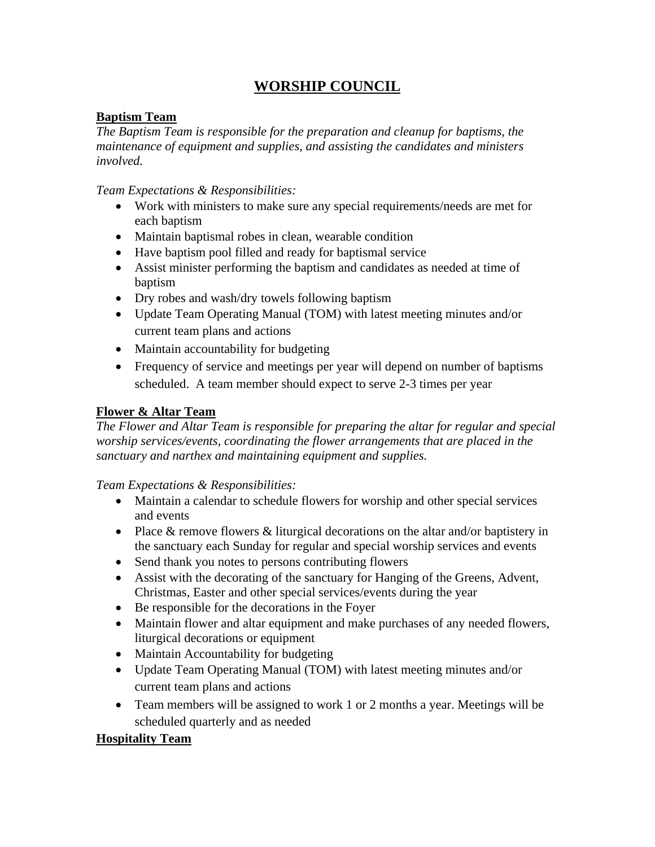# **WORSHIP COUNCIL**

# **Baptism Team**

*The Baptism Team is responsible for the preparation and cleanup for baptisms, the maintenance of equipment and supplies, and assisting the candidates and ministers involved.* 

*Team Expectations & Responsibilities:* 

- Work with ministers to make sure any special requirements/needs are met for each baptism
- Maintain baptismal robes in clean, wearable condition
- Have baptism pool filled and ready for baptismal service
- Assist minister performing the baptism and candidates as needed at time of baptism
- Dry robes and wash/dry towels following baptism
- Update Team Operating Manual (TOM) with latest meeting minutes and/or current team plans and actions
- Maintain accountability for budgeting
- Frequency of service and meetings per year will depend on number of baptisms scheduled. A team member should expect to serve 2-3 times per year

# **Flower & Altar Team**

*The Flower and Altar Team is responsible for preparing the altar for regular and special worship services/events, coordinating the flower arrangements that are placed in the sanctuary and narthex and maintaining equipment and supplies.* 

*Team Expectations & Responsibilities:* 

- Maintain a calendar to schedule flowers for worship and other special services and events
- Place & remove flowers & liturgical decorations on the altar and/or baptistery in the sanctuary each Sunday for regular and special worship services and events
- Send thank you notes to persons contributing flowers
- Assist with the decorating of the sanctuary for Hanging of the Greens, Advent, Christmas, Easter and other special services/events during the year
- Be responsible for the decorations in the Foyer
- Maintain flower and altar equipment and make purchases of any needed flowers, liturgical decorations or equipment
- Maintain Accountability for budgeting
- Update Team Operating Manual (TOM) with latest meeting minutes and/or current team plans and actions
- Team members will be assigned to work 1 or 2 months a year. Meetings will be scheduled quarterly and as needed

# **Hospitality Team**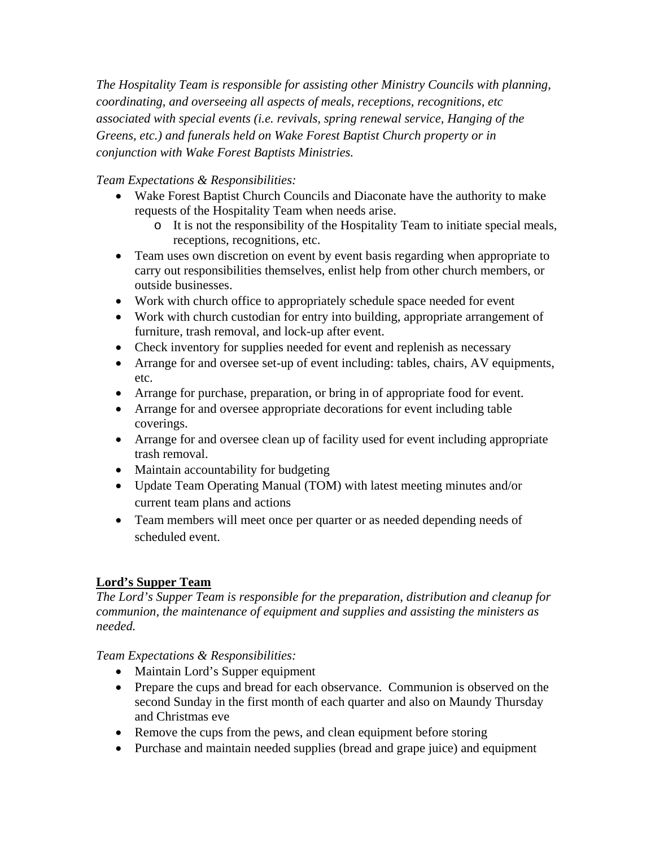*The Hospitality Team is responsible for assisting other Ministry Councils with planning, coordinating, and overseeing all aspects of meals, receptions, recognitions, etc associated with special events (i.e. revivals, spring renewal service, Hanging of the Greens, etc.) and funerals held on Wake Forest Baptist Church property or in conjunction with Wake Forest Baptists Ministries.* 

# *Team Expectations & Responsibilities:*

- Wake Forest Baptist Church Councils and Diaconate have the authority to make requests of the Hospitality Team when needs arise.
	- o It is not the responsibility of the Hospitality Team to initiate special meals, receptions, recognitions, etc.
- Team uses own discretion on event by event basis regarding when appropriate to carry out responsibilities themselves, enlist help from other church members, or outside businesses.
- Work with church office to appropriately schedule space needed for event
- Work with church custodian for entry into building, appropriate arrangement of furniture, trash removal, and lock-up after event.
- Check inventory for supplies needed for event and replenish as necessary
- Arrange for and oversee set-up of event including: tables, chairs, AV equipments, etc.
- Arrange for purchase, preparation, or bring in of appropriate food for event.
- Arrange for and oversee appropriate decorations for event including table coverings.
- Arrange for and oversee clean up of facility used for event including appropriate trash removal.
- Maintain accountability for budgeting
- Update Team Operating Manual (TOM) with latest meeting minutes and/or current team plans and actions
- Team members will meet once per quarter or as needed depending needs of scheduled event.

## **Lord's Supper Team**

*The Lord's Supper Team is responsible for the preparation, distribution and cleanup for communion, the maintenance of equipment and supplies and assisting the ministers as needed.* 

- Maintain Lord's Supper equipment
- Prepare the cups and bread for each observance. Communion is observed on the second Sunday in the first month of each quarter and also on Maundy Thursday and Christmas eve
- Remove the cups from the pews, and clean equipment before storing
- Purchase and maintain needed supplies (bread and grape juice) and equipment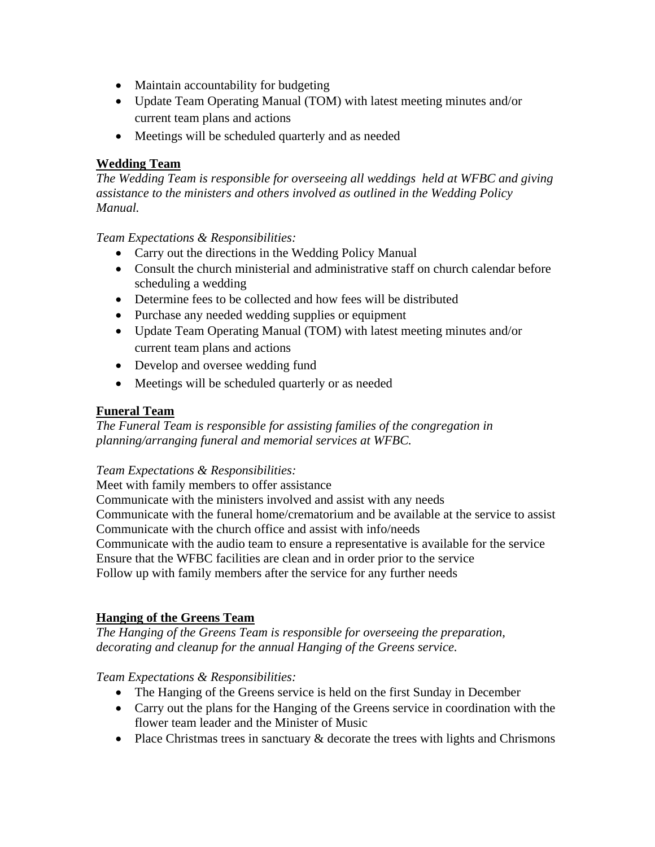- Maintain accountability for budgeting
- Update Team Operating Manual (TOM) with latest meeting minutes and/or current team plans and actions
- Meetings will be scheduled quarterly and as needed

# **Wedding Team**

*The Wedding Team is responsible for overseeing all weddings held at WFBC and giving assistance to the ministers and others involved as outlined in the Wedding Policy Manual.* 

# *Team Expectations & Responsibilities:*

- Carry out the directions in the Wedding Policy Manual
- Consult the church ministerial and administrative staff on church calendar before scheduling a wedding
- Determine fees to be collected and how fees will be distributed
- Purchase any needed wedding supplies or equipment
- Update Team Operating Manual (TOM) with latest meeting minutes and/or current team plans and actions
- Develop and oversee wedding fund
- Meetings will be scheduled quarterly or as needed

## **Funeral Team**

*The Funeral Team is responsible for assisting families of the congregation in planning/arranging funeral and memorial services at WFBC.* 

## *Team Expectations & Responsibilities:*

Meet with family members to offer assistance

Communicate with the ministers involved and assist with any needs Communicate with the funeral home/crematorium and be available at the service to assist Communicate with the church office and assist with info/needs Communicate with the audio team to ensure a representative is available for the service Ensure that the WFBC facilities are clean and in order prior to the service Follow up with family members after the service for any further needs

## **Hanging of the Greens Team**

*The Hanging of the Greens Team is responsible for overseeing the preparation, decorating and cleanup for the annual Hanging of the Greens service.* 

- The Hanging of the Greens service is held on the first Sunday in December
- Carry out the plans for the Hanging of the Greens service in coordination with the flower team leader and the Minister of Music
- Place Christmas trees in sanctuary  $\&$  decorate the trees with lights and Chrismons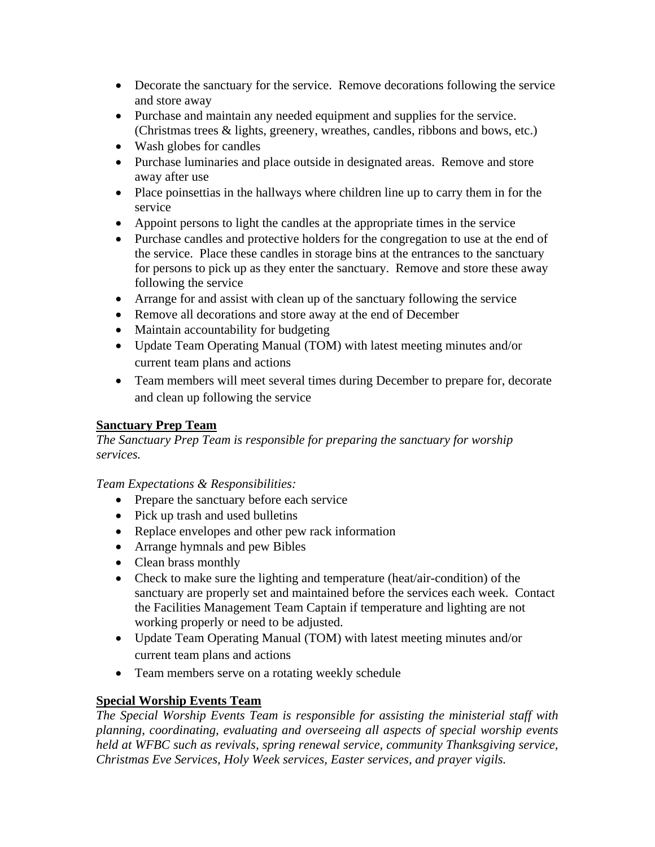- Decorate the sanctuary for the service. Remove decorations following the service and store away
- Purchase and maintain any needed equipment and supplies for the service. (Christmas trees & lights, greenery, wreathes, candles, ribbons and bows, etc.)
- Wash globes for candles
- Purchase luminaries and place outside in designated areas. Remove and store away after use
- Place poinsettias in the hallways where children line up to carry them in for the service
- Appoint persons to light the candles at the appropriate times in the service
- Purchase candles and protective holders for the congregation to use at the end of the service. Place these candles in storage bins at the entrances to the sanctuary for persons to pick up as they enter the sanctuary. Remove and store these away following the service
- Arrange for and assist with clean up of the sanctuary following the service
- Remove all decorations and store away at the end of December
- Maintain accountability for budgeting
- Update Team Operating Manual (TOM) with latest meeting minutes and/or current team plans and actions
- Team members will meet several times during December to prepare for, decorate and clean up following the service

# **Sanctuary Prep Team**

*The Sanctuary Prep Team is responsible for preparing the sanctuary for worship services.* 

## *Team Expectations & Responsibilities:*

- Prepare the sanctuary before each service
- Pick up trash and used bulletins
- Replace envelopes and other pew rack information
- Arrange hymnals and pew Bibles
- Clean brass monthly
- Check to make sure the lighting and temperature (heat/air-condition) of the sanctuary are properly set and maintained before the services each week. Contact the Facilities Management Team Captain if temperature and lighting are not working properly or need to be adjusted.
- Update Team Operating Manual (TOM) with latest meeting minutes and/or current team plans and actions
- Team members serve on a rotating weekly schedule

# **Special Worship Events Team**

*The Special Worship Events Team is responsible for assisting the ministerial staff with planning, coordinating, evaluating and overseeing all aspects of special worship events held at WFBC such as revivals, spring renewal service, community Thanksgiving service, Christmas Eve Services, Holy Week services, Easter services, and prayer vigils.*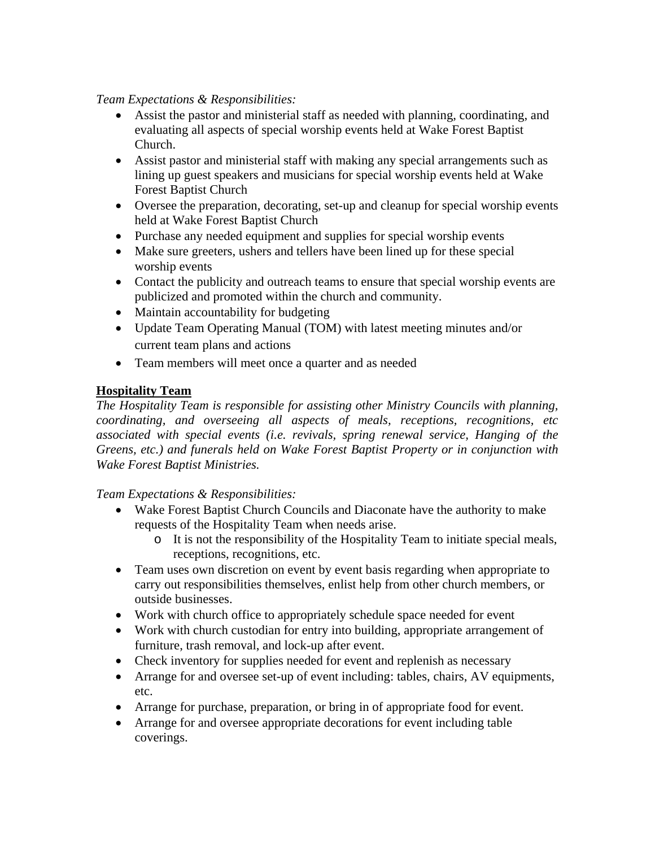#### *Team Expectations & Responsibilities:*

- Assist the pastor and ministerial staff as needed with planning, coordinating, and evaluating all aspects of special worship events held at Wake Forest Baptist Church.
- Assist pastor and ministerial staff with making any special arrangements such as lining up guest speakers and musicians for special worship events held at Wake Forest Baptist Church
- Oversee the preparation, decorating, set-up and cleanup for special worship events held at Wake Forest Baptist Church
- Purchase any needed equipment and supplies for special worship events
- Make sure greeters, ushers and tellers have been lined up for these special worship events
- Contact the publicity and outreach teams to ensure that special worship events are publicized and promoted within the church and community.
- Maintain accountability for budgeting
- Update Team Operating Manual (TOM) with latest meeting minutes and/or current team plans and actions
- Team members will meet once a quarter and as needed

# **Hospitality Team**

*The Hospitality Team is responsible for assisting other Ministry Councils with planning, coordinating, and overseeing all aspects of meals, receptions, recognitions, etc associated with special events (i.e. revivals, spring renewal service, Hanging of the Greens, etc.) and funerals held on Wake Forest Baptist Property or in conjunction with Wake Forest Baptist Ministries.* 

- Wake Forest Baptist Church Councils and Diaconate have the authority to make requests of the Hospitality Team when needs arise.
	- o It is not the responsibility of the Hospitality Team to initiate special meals, receptions, recognitions, etc.
- Team uses own discretion on event by event basis regarding when appropriate to carry out responsibilities themselves, enlist help from other church members, or outside businesses.
- Work with church office to appropriately schedule space needed for event
- Work with church custodian for entry into building, appropriate arrangement of furniture, trash removal, and lock-up after event.
- Check inventory for supplies needed for event and replenish as necessary
- Arrange for and oversee set-up of event including: tables, chairs, AV equipments, etc.
- Arrange for purchase, preparation, or bring in of appropriate food for event.
- Arrange for and oversee appropriate decorations for event including table coverings.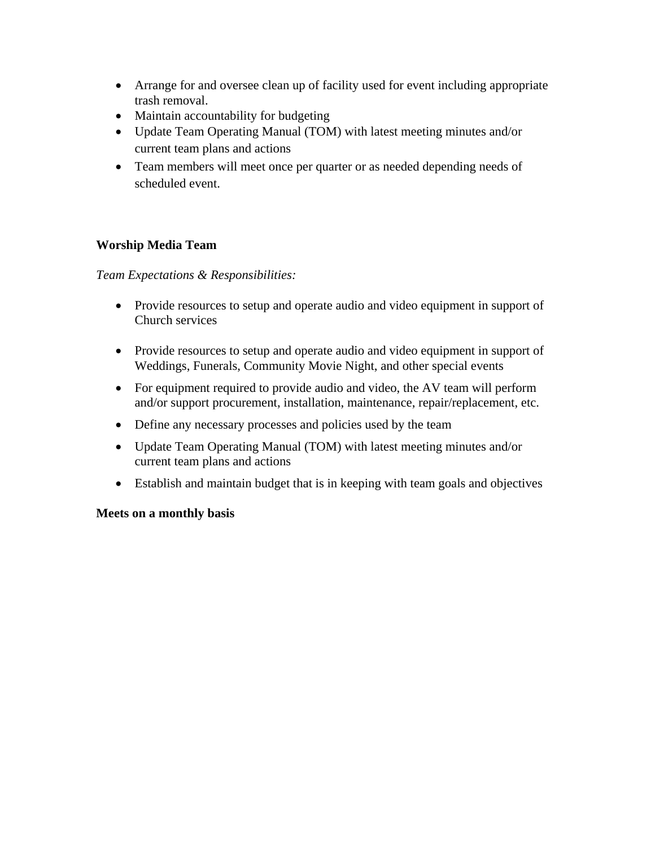- Arrange for and oversee clean up of facility used for event including appropriate trash removal.
- Maintain accountability for budgeting
- Update Team Operating Manual (TOM) with latest meeting minutes and/or current team plans and actions
- Team members will meet once per quarter or as needed depending needs of scheduled event.

## **Worship Media Team**

*Team Expectations & Responsibilities:*

- Provide resources to setup and operate audio and video equipment in support of Church services
- Provide resources to setup and operate audio and video equipment in support of Weddings, Funerals, Community Movie Night, and other special events
- For equipment required to provide audio and video, the AV team will perform and/or support procurement, installation, maintenance, repair/replacement, etc.
- Define any necessary processes and policies used by the team
- Update Team Operating Manual (TOM) with latest meeting minutes and/or current team plans and actions
- Establish and maintain budget that is in keeping with team goals and objectives

#### **Meets on a monthly basis**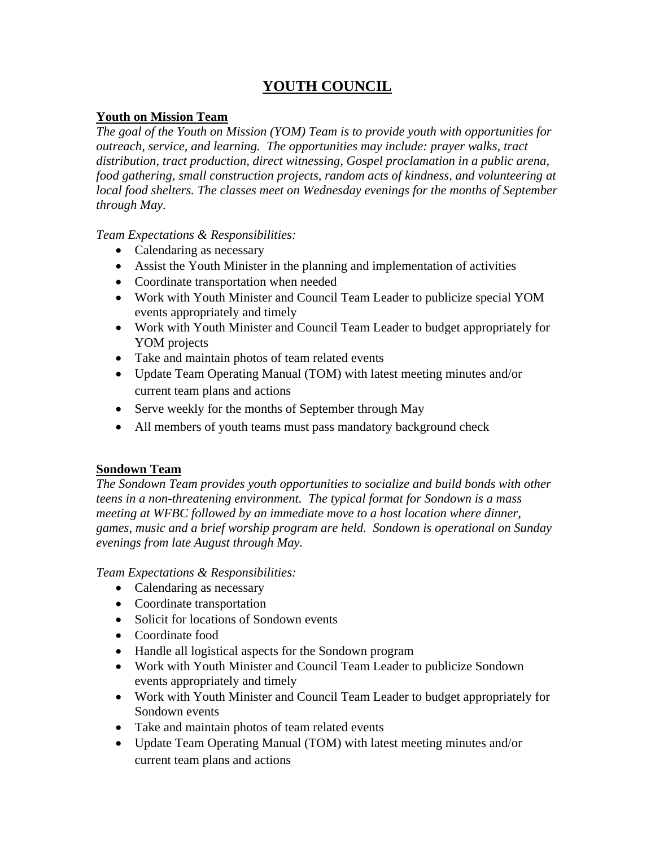# **YOUTH COUNCIL**

## **Youth on Mission Team**

*The goal of the Youth on Mission (YOM) Team is to provide youth with opportunities for outreach, service, and learning. The opportunities may include: prayer walks, tract distribution, tract production, direct witnessing, Gospel proclamation in a public arena, food gathering, small construction projects, random acts of kindness, and volunteering at local food shelters. The classes meet on Wednesday evenings for the months of September through May.* 

## *Team Expectations & Responsibilities:*

- Calendaring as necessary
- Assist the Youth Minister in the planning and implementation of activities
- Coordinate transportation when needed
- Work with Youth Minister and Council Team Leader to publicize special YOM events appropriately and timely
- Work with Youth Minister and Council Team Leader to budget appropriately for YOM projects
- Take and maintain photos of team related events
- Update Team Operating Manual (TOM) with latest meeting minutes and/or current team plans and actions
- Serve weekly for the months of September through May
- All members of youth teams must pass mandatory background check

## **Sondown Team**

*The Sondown Team provides youth opportunities to socialize and build bonds with other teens in a non-threatening environment. The typical format for Sondown is a mass meeting at WFBC followed by an immediate move to a host location where dinner, games, music and a brief worship program are held. Sondown is operational on Sunday evenings from late August through May.* 

- Calendaring as necessary
- Coordinate transportation
- Solicit for locations of Sondown events
- Coordinate food
- Handle all logistical aspects for the Sondown program
- Work with Youth Minister and Council Team Leader to publicize Sondown events appropriately and timely
- Work with Youth Minister and Council Team Leader to budget appropriately for Sondown events
- Take and maintain photos of team related events
- Update Team Operating Manual (TOM) with latest meeting minutes and/or current team plans and actions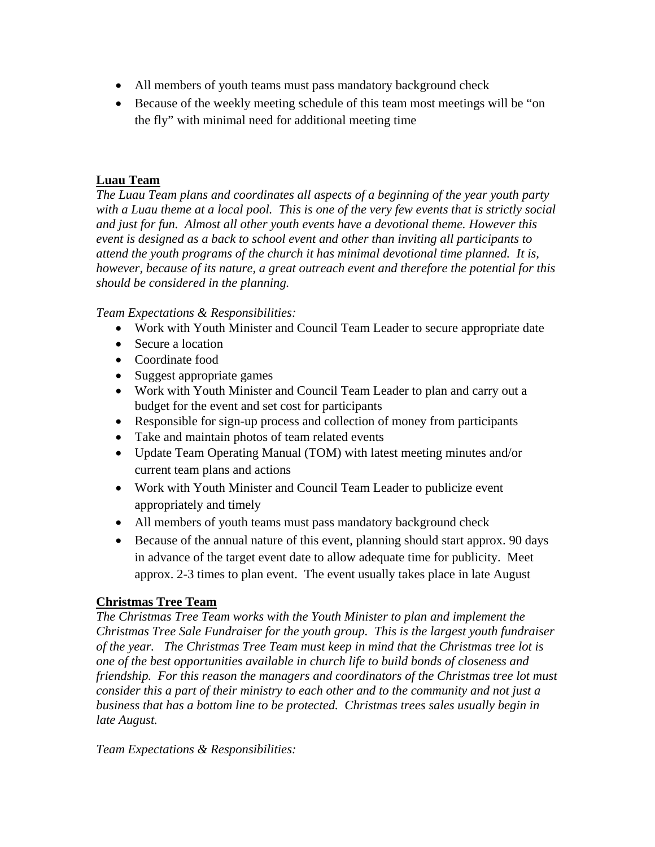- All members of youth teams must pass mandatory background check
- Because of the weekly meeting schedule of this team most meetings will be "on the fly" with minimal need for additional meeting time

# **Luau Team**

*The Luau Team plans and coordinates all aspects of a beginning of the year youth party*  with a Luau theme at a local pool. This is one of the very few events that is strictly social *and just for fun. Almost all other youth events have a devotional theme. However this event is designed as a back to school event and other than inviting all participants to attend the youth programs of the church it has minimal devotional time planned. It is, however, because of its nature, a great outreach event and therefore the potential for this should be considered in the planning.* 

## *Team Expectations & Responsibilities:*

- Work with Youth Minister and Council Team Leader to secure appropriate date
- Secure a location
- Coordinate food
- Suggest appropriate games
- Work with Youth Minister and Council Team Leader to plan and carry out a budget for the event and set cost for participants
- Responsible for sign-up process and collection of money from participants
- Take and maintain photos of team related events
- Update Team Operating Manual (TOM) with latest meeting minutes and/or current team plans and actions
- Work with Youth Minister and Council Team Leader to publicize event appropriately and timely
- All members of youth teams must pass mandatory background check
- Because of the annual nature of this event, planning should start approx. 90 days in advance of the target event date to allow adequate time for publicity. Meet approx. 2-3 times to plan event. The event usually takes place in late August

# **Christmas Tree Team**

*The Christmas Tree Team works with the Youth Minister to plan and implement the Christmas Tree Sale Fundraiser for the youth group. This is the largest youth fundraiser of the year. The Christmas Tree Team must keep in mind that the Christmas tree lot is one of the best opportunities available in church life to build bonds of closeness and friendship. For this reason the managers and coordinators of the Christmas tree lot must consider this a part of their ministry to each other and to the community and not just a business that has a bottom line to be protected. Christmas trees sales usually begin in late August.*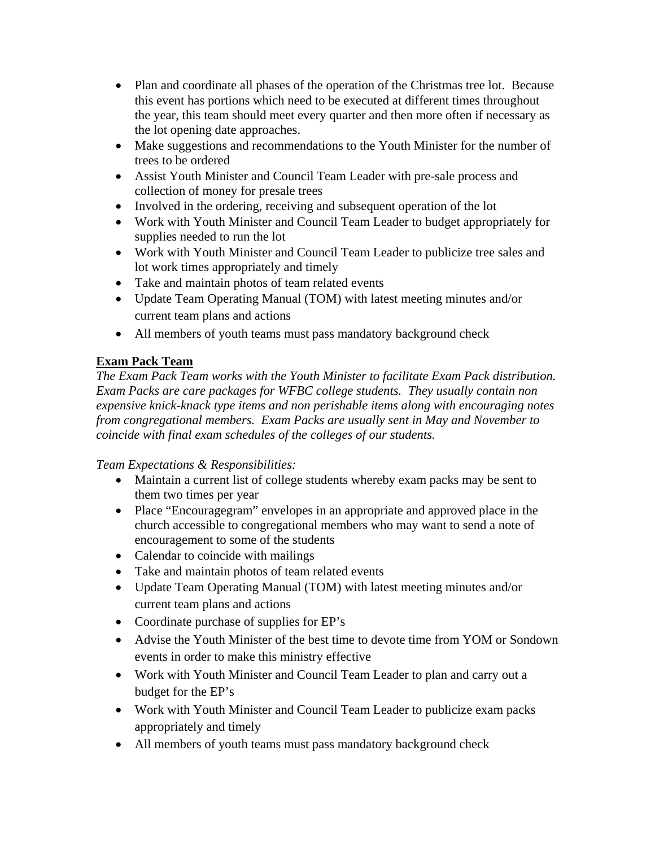- Plan and coordinate all phases of the operation of the Christmas tree lot. Because this event has portions which need to be executed at different times throughout the year, this team should meet every quarter and then more often if necessary as the lot opening date approaches.
- Make suggestions and recommendations to the Youth Minister for the number of trees to be ordered
- Assist Youth Minister and Council Team Leader with pre-sale process and collection of money for presale trees
- Involved in the ordering, receiving and subsequent operation of the lot
- Work with Youth Minister and Council Team Leader to budget appropriately for supplies needed to run the lot
- Work with Youth Minister and Council Team Leader to publicize tree sales and lot work times appropriately and timely
- Take and maintain photos of team related events
- Update Team Operating Manual (TOM) with latest meeting minutes and/or current team plans and actions
- All members of youth teams must pass mandatory background check

# **Exam Pack Team**

*The Exam Pack Team works with the Youth Minister to facilitate Exam Pack distribution. Exam Packs are care packages for WFBC college students. They usually contain non expensive knick-knack type items and non perishable items along with encouraging notes from congregational members. Exam Packs are usually sent in May and November to coincide with final exam schedules of the colleges of our students.* 

- Maintain a current list of college students whereby exam packs may be sent to them two times per year
- Place "Encouragegram" envelopes in an appropriate and approved place in the church accessible to congregational members who may want to send a note of encouragement to some of the students
- Calendar to coincide with mailings
- Take and maintain photos of team related events
- Update Team Operating Manual (TOM) with latest meeting minutes and/or current team plans and actions
- Coordinate purchase of supplies for EP's
- Advise the Youth Minister of the best time to devote time from YOM or Sondown events in order to make this ministry effective
- Work with Youth Minister and Council Team Leader to plan and carry out a budget for the EP's
- Work with Youth Minister and Council Team Leader to publicize exam packs appropriately and timely
- All members of youth teams must pass mandatory background check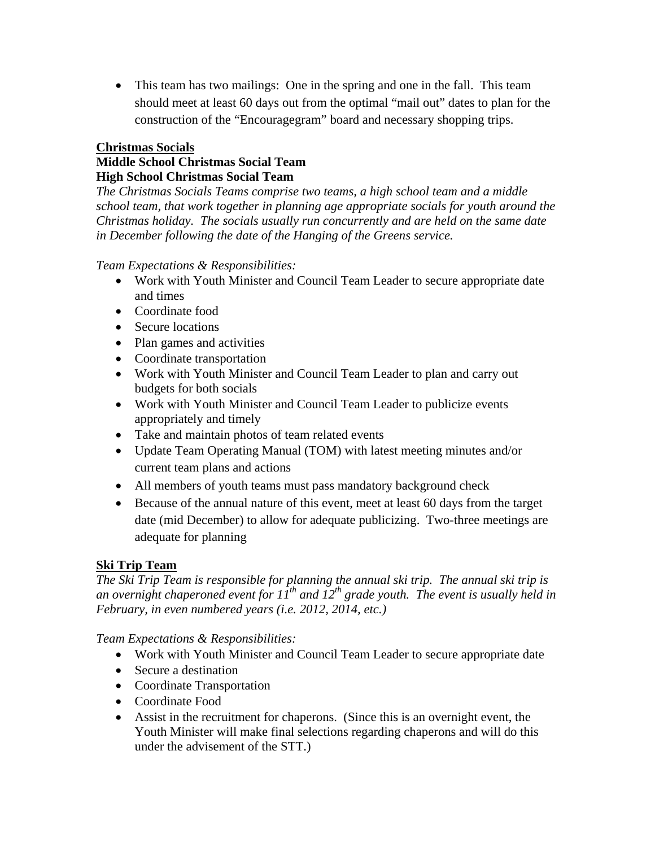• This team has two mailings: One in the spring and one in the fall. This team should meet at least 60 days out from the optimal "mail out" dates to plan for the construction of the "Encouragegram" board and necessary shopping trips.

#### **Christmas Socials**

## **Middle School Christmas Social Team High School Christmas Social Team**

*The Christmas Socials Teams comprise two teams, a high school team and a middle school team, that work together in planning age appropriate socials for youth around the Christmas holiday. The socials usually run concurrently and are held on the same date in December following the date of the Hanging of the Greens service.* 

#### *Team Expectations & Responsibilities:*

- Work with Youth Minister and Council Team Leader to secure appropriate date and times
- Coordinate food
- Secure locations
- Plan games and activities
- Coordinate transportation
- Work with Youth Minister and Council Team Leader to plan and carry out budgets for both socials
- Work with Youth Minister and Council Team Leader to publicize events appropriately and timely
- Take and maintain photos of team related events
- Update Team Operating Manual (TOM) with latest meeting minutes and/or current team plans and actions
- All members of youth teams must pass mandatory background check
- Because of the annual nature of this event, meet at least 60 days from the target date (mid December) to allow for adequate publicizing. Two-three meetings are adequate for planning

## **Ski Trip Team**

*The Ski Trip Team is responsible for planning the annual ski trip. The annual ski trip is*  an overnight chaperoned event for  $I_1^{th}$  and  $I_2^{th}$  grade youth. The event is usually held in *February, in even numbered years (i.e. 2012, 2014, etc.)* 

- Work with Youth Minister and Council Team Leader to secure appropriate date
- Secure a destination
- Coordinate Transportation
- Coordinate Food
- Assist in the recruitment for chaperons. (Since this is an overnight event, the Youth Minister will make final selections regarding chaperons and will do this under the advisement of the STT.)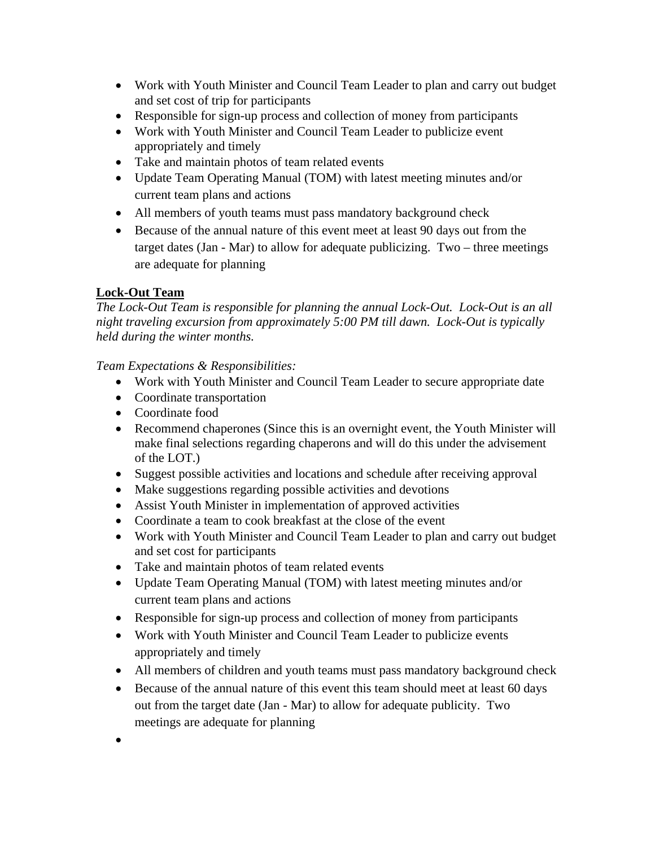- Work with Youth Minister and Council Team Leader to plan and carry out budget and set cost of trip for participants
- Responsible for sign-up process and collection of money from participants
- Work with Youth Minister and Council Team Leader to publicize event appropriately and timely
- Take and maintain photos of team related events
- Update Team Operating Manual (TOM) with latest meeting minutes and/or current team plans and actions
- All members of youth teams must pass mandatory background check
- Because of the annual nature of this event meet at least 90 days out from the target dates (Jan - Mar) to allow for adequate publicizing. Two – three meetings are adequate for planning

# **Lock-Out Team**

*The Lock-Out Team is responsible for planning the annual Lock-Out. Lock-Out is an all night traveling excursion from approximately 5:00 PM till dawn. Lock-Out is typically held during the winter months.* 

- Work with Youth Minister and Council Team Leader to secure appropriate date
- Coordinate transportation
- Coordinate food
- Recommend chaperones (Since this is an overnight event, the Youth Minister will make final selections regarding chaperons and will do this under the advisement of the LOT.)
- Suggest possible activities and locations and schedule after receiving approval
- Make suggestions regarding possible activities and devotions
- Assist Youth Minister in implementation of approved activities
- Coordinate a team to cook breakfast at the close of the event
- Work with Youth Minister and Council Team Leader to plan and carry out budget and set cost for participants
- Take and maintain photos of team related events
- Update Team Operating Manual (TOM) with latest meeting minutes and/or current team plans and actions
- Responsible for sign-up process and collection of money from participants
- Work with Youth Minister and Council Team Leader to publicize events appropriately and timely
- All members of children and youth teams must pass mandatory background check
- Because of the annual nature of this event this team should meet at least 60 days out from the target date (Jan - Mar) to allow for adequate publicity. Two meetings are adequate for planning
- $\bullet$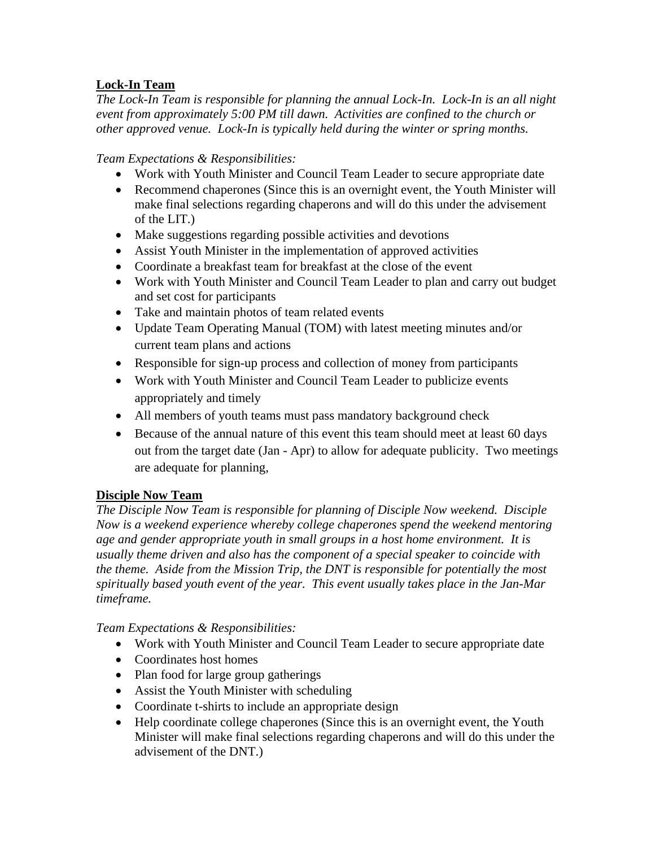# **Lock-In Team**

*The Lock-In Team is responsible for planning the annual Lock-In. Lock-In is an all night event from approximately 5:00 PM till dawn. Activities are confined to the church or other approved venue. Lock-In is typically held during the winter or spring months.* 

*Team Expectations & Responsibilities:* 

- Work with Youth Minister and Council Team Leader to secure appropriate date
- Recommend chaperones (Since this is an overnight event, the Youth Minister will make final selections regarding chaperons and will do this under the advisement of the LIT.)
- Make suggestions regarding possible activities and devotions
- Assist Youth Minister in the implementation of approved activities
- Coordinate a breakfast team for breakfast at the close of the event
- Work with Youth Minister and Council Team Leader to plan and carry out budget and set cost for participants
- Take and maintain photos of team related events
- Update Team Operating Manual (TOM) with latest meeting minutes and/or current team plans and actions
- Responsible for sign-up process and collection of money from participants
- Work with Youth Minister and Council Team Leader to publicize events appropriately and timely
- All members of youth teams must pass mandatory background check
- Because of the annual nature of this event this team should meet at least 60 days out from the target date (Jan - Apr) to allow for adequate publicity. Two meetings are adequate for planning,

# **Disciple Now Team**

*The Disciple Now Team is responsible for planning of Disciple Now weekend. Disciple Now is a weekend experience whereby college chaperones spend the weekend mentoring age and gender appropriate youth in small groups in a host home environment. It is usually theme driven and also has the component of a special speaker to coincide with the theme. Aside from the Mission Trip, the DNT is responsible for potentially the most spiritually based youth event of the year. This event usually takes place in the Jan-Mar timeframe.* 

- Work with Youth Minister and Council Team Leader to secure appropriate date
- Coordinates host homes
- Plan food for large group gatherings
- Assist the Youth Minister with scheduling
- Coordinate t-shirts to include an appropriate design
- Help coordinate college chaperones (Since this is an overnight event, the Youth Minister will make final selections regarding chaperons and will do this under the advisement of the DNT.)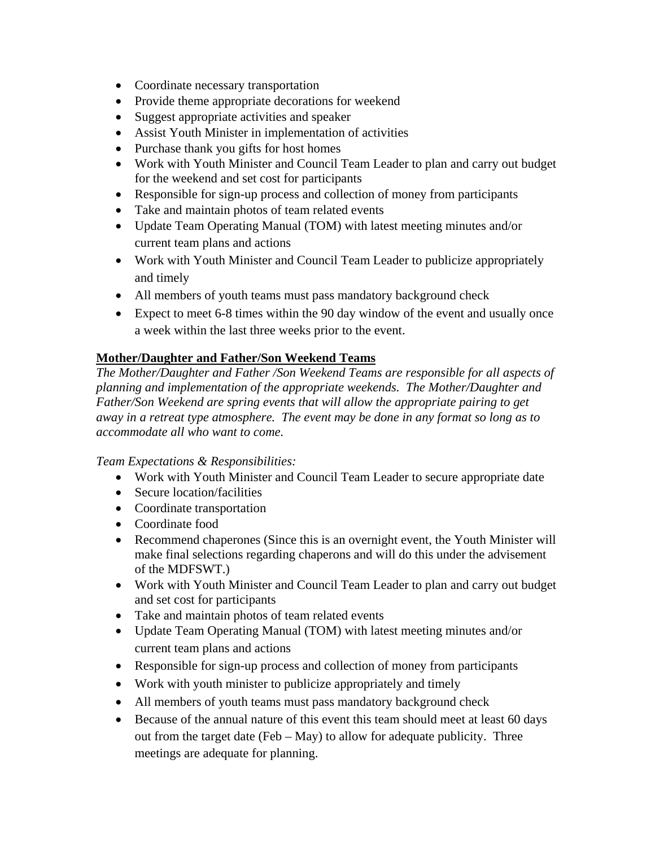- Coordinate necessary transportation
- Provide theme appropriate decorations for weekend
- Suggest appropriate activities and speaker
- Assist Youth Minister in implementation of activities
- Purchase thank you gifts for host homes
- Work with Youth Minister and Council Team Leader to plan and carry out budget for the weekend and set cost for participants
- Responsible for sign-up process and collection of money from participants
- Take and maintain photos of team related events
- Update Team Operating Manual (TOM) with latest meeting minutes and/or current team plans and actions
- Work with Youth Minister and Council Team Leader to publicize appropriately and timely
- All members of youth teams must pass mandatory background check
- Expect to meet 6-8 times within the 90 day window of the event and usually once a week within the last three weeks prior to the event.

# **Mother/Daughter and Father/Son Weekend Teams**

*The Mother/Daughter and Father /Son Weekend Teams are responsible for all aspects of planning and implementation of the appropriate weekends. The Mother/Daughter and Father/Son Weekend are spring events that will allow the appropriate pairing to get away in a retreat type atmosphere. The event may be done in any format so long as to accommodate all who want to come.* 

- Work with Youth Minister and Council Team Leader to secure appropriate date
- Secure location/facilities
- Coordinate transportation
- Coordinate food
- Recommend chaperones (Since this is an overnight event, the Youth Minister will make final selections regarding chaperons and will do this under the advisement of the MDFSWT.)
- Work with Youth Minister and Council Team Leader to plan and carry out budget and set cost for participants
- Take and maintain photos of team related events
- Update Team Operating Manual (TOM) with latest meeting minutes and/or current team plans and actions
- Responsible for sign-up process and collection of money from participants
- Work with youth minister to publicize appropriately and timely
- All members of youth teams must pass mandatory background check
- Because of the annual nature of this event this team should meet at least 60 days out from the target date (Feb – May) to allow for adequate publicity. Three meetings are adequate for planning.